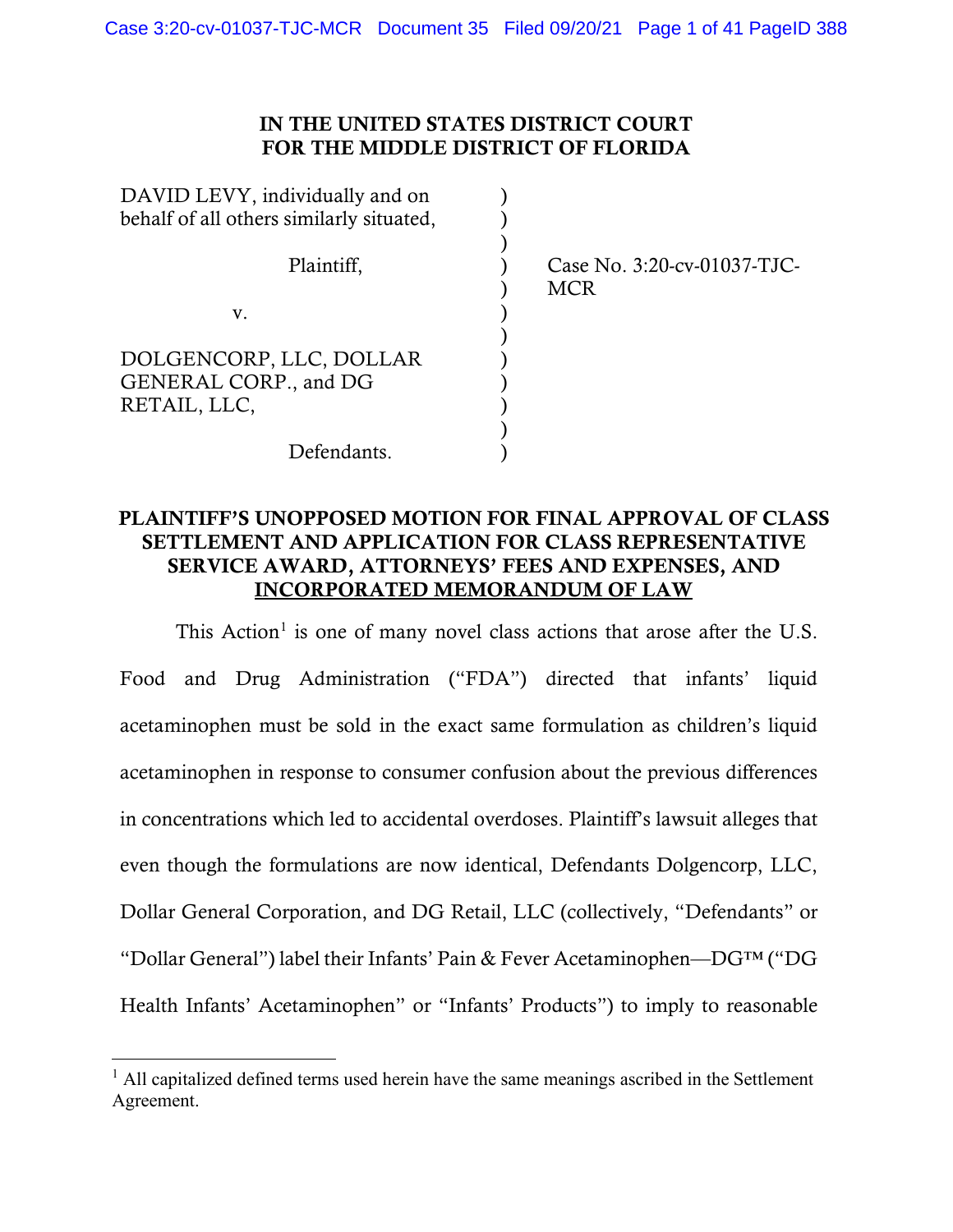# IN THE UNITED STATES DISTRICT COURT FOR THE MIDDLE DISTRICT OF FLORIDA

| DAVID LEVY, individually and on          |                                           |
|------------------------------------------|-------------------------------------------|
| behalf of all others similarly situated, |                                           |
| Plaintiff,                               | Case No. 3:20-cv-01037-TJC-<br><b>MCR</b> |
| V.                                       |                                           |
|                                          |                                           |
| DOLGENCORP, LLC, DOLLAR                  |                                           |
| GENERAL CORP., and DG                    |                                           |
| RETAIL, LLC,                             |                                           |
|                                          |                                           |
| Defendants                               |                                           |

# PLAINTIFF'S UNOPPOSED MOTION FOR FINAL APPROVAL OF CLASS SETTLEMENT AND APPLICATION FOR CLASS REPRESENTATIVE SERVICE AWARD, ATTORNEYS' FEES AND EXPENSES, AND INCORPORATED MEMORANDUM OF LAW

This Action<sup>[1](#page-0-0)</sup> is one of many novel class actions that arose after the U.S. Food and Drug Administration ("FDA") directed that infants' liquid acetaminophen must be sold in the exact same formulation as children's liquid acetaminophen in response to consumer confusion about the previous differences in concentrations which led to accidental overdoses. Plaintiff's lawsuit alleges that even though the formulations are now identical, Defendants Dolgencorp, LLC, Dollar General Corporation, and DG Retail, LLC (collectively, "Defendants" or "Dollar General") label their Infants' Pain & Fever Acetaminophen—DG™ ("DG Health Infants' Acetaminophen" or "Infants' Products") to imply to reasonable

<span id="page-0-0"></span> $<sup>1</sup>$  All capitalized defined terms used herein have the same meanings ascribed in the Settlement</sup> Agreement.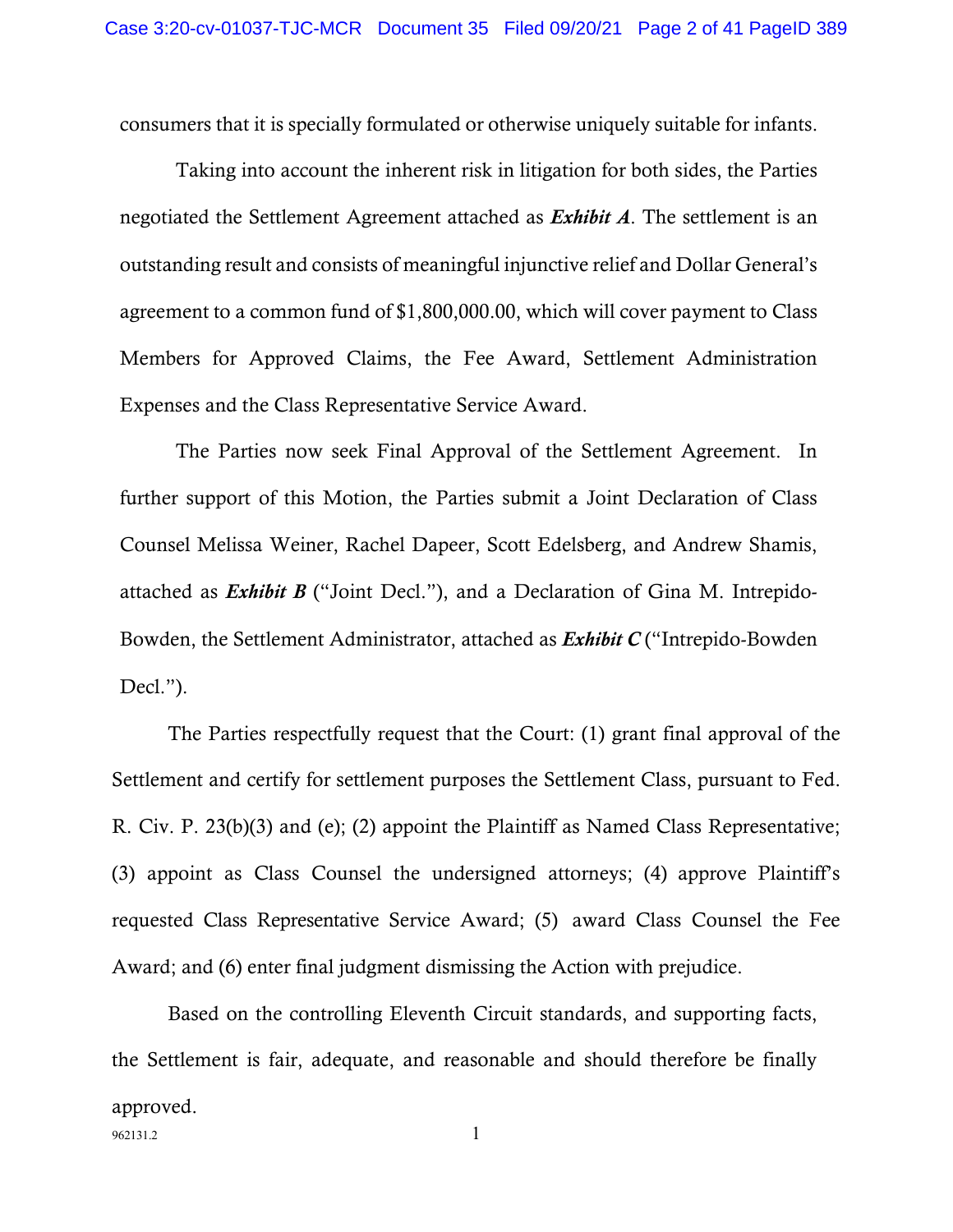consumers that it is specially formulated or otherwise uniquely suitable for infants.

Taking into account the inherent risk in litigation for both sides, the Parties negotiated the Settlement Agreement attached as *Exhibit A*. The settlement is an outstanding result and consists of meaningful injunctive relief and Dollar General's agreement to a common fund of \$1,800,000.00, which will cover payment to Class Members for Approved Claims, the Fee Award, Settlement Administration Expenses and the Class Representative Service Award.

The Parties now seek Final Approval of the Settlement Agreement. In further support of this Motion, the Parties submit a Joint Declaration of Class Counsel Melissa Weiner, Rachel Dapeer, Scott Edelsberg, and Andrew Shamis, attached as *Exhibit B* ("Joint Decl."), and a Declaration of Gina M. Intrepido-Bowden, the Settlement Administrator, attached as *Exhibit C* ("Intrepido-Bowden Decl.").

The Parties respectfully request that the Court: (1) grant final approval of the Settlement and certify for settlement purposes the Settlement Class, pursuant to Fed. R. Civ. P. 23(b)(3) and (e); (2) appoint the Plaintiff as Named Class Representative; (3) appoint as Class Counsel the undersigned attorneys; (4) approve Plaintiff's requested Class Representative Service Award; (5) award Class Counsel the Fee Award; and (6) enter final judgment dismissing the Action with prejudice.

962131.2 1 Based on the controlling Eleventh Circuit standards, and supporting facts, the Settlement is fair, adequate, and reasonable and should therefore be finally approved.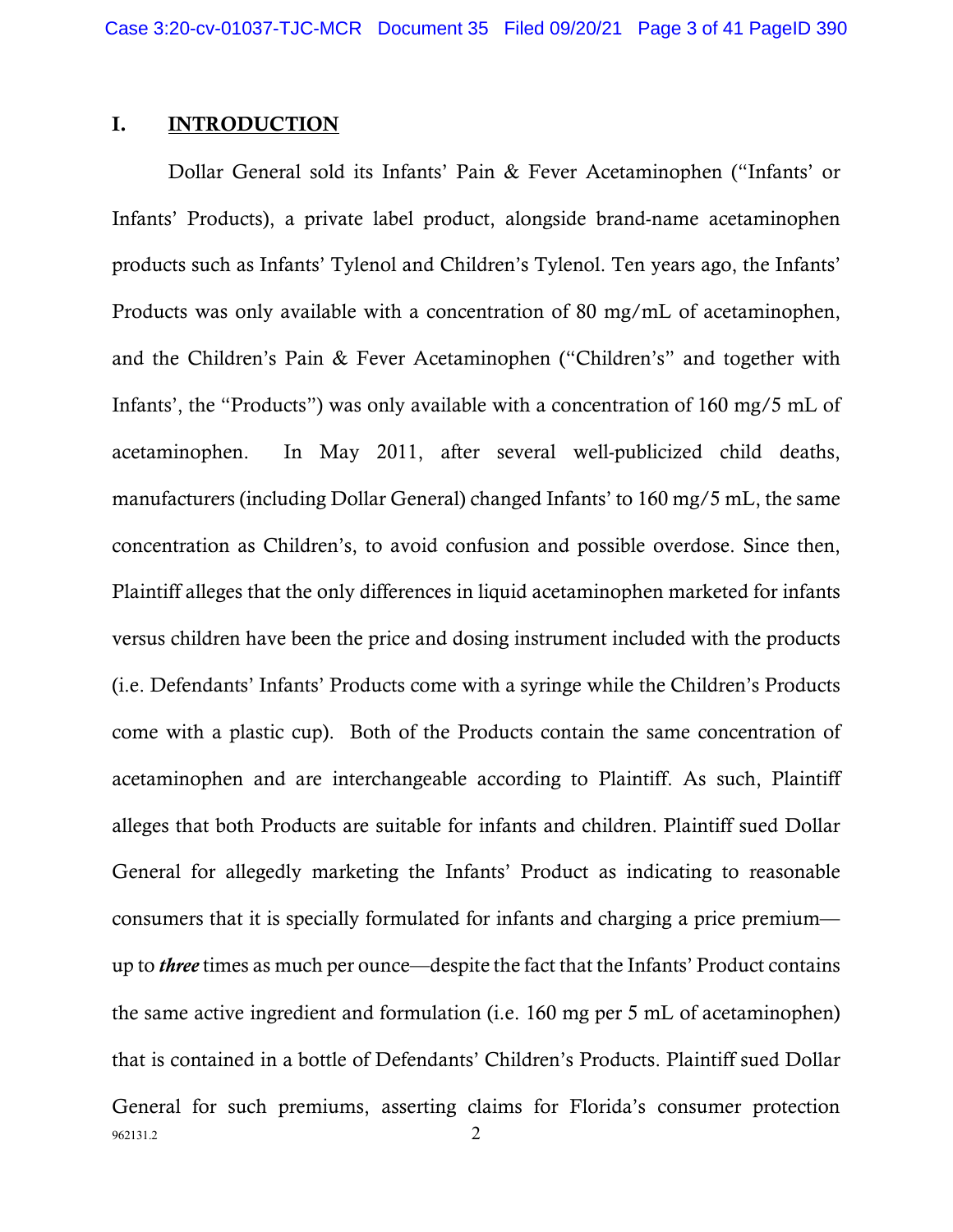### I. INTRODUCTION

962131.2 2 Dollar General sold its Infants' Pain & Fever Acetaminophen ("Infants' or Infants' Products), a private label product, alongside brand-name acetaminophen products such as Infants' Tylenol and Children's Tylenol. Ten years ago, the Infants' Products was only available with a concentration of 80 mg/mL of acetaminophen, and the Children's Pain & Fever Acetaminophen ("Children's" and together with Infants', the "Products") was only available with a concentration of 160 mg/5 mL of acetaminophen. In May 2011, after several well-publicized child deaths, manufacturers (including Dollar General) changed Infants' to 160 mg/5 mL, the same concentration as Children's, to avoid confusion and possible overdose. Since then, Plaintiff alleges that the only differences in liquid acetaminophen marketed for infants versus children have been the price and dosing instrument included with the products (i.e. Defendants' Infants' Products come with a syringe while the Children's Products come with a plastic cup). Both of the Products contain the same concentration of acetaminophen and are interchangeable according to Plaintiff. As such, Plaintiff alleges that both Products are suitable for infants and children. Plaintiff sued Dollar General for allegedly marketing the Infants' Product as indicating to reasonable consumers that it is specially formulated for infants and charging a price premium up to *three* times as much per ounce—despite the fact that the Infants' Product contains the same active ingredient and formulation (i.e. 160 mg per 5 mL of acetaminophen) that is contained in a bottle of Defendants' Children's Products. Plaintiff sued Dollar General for such premiums, asserting claims for Florida's consumer protection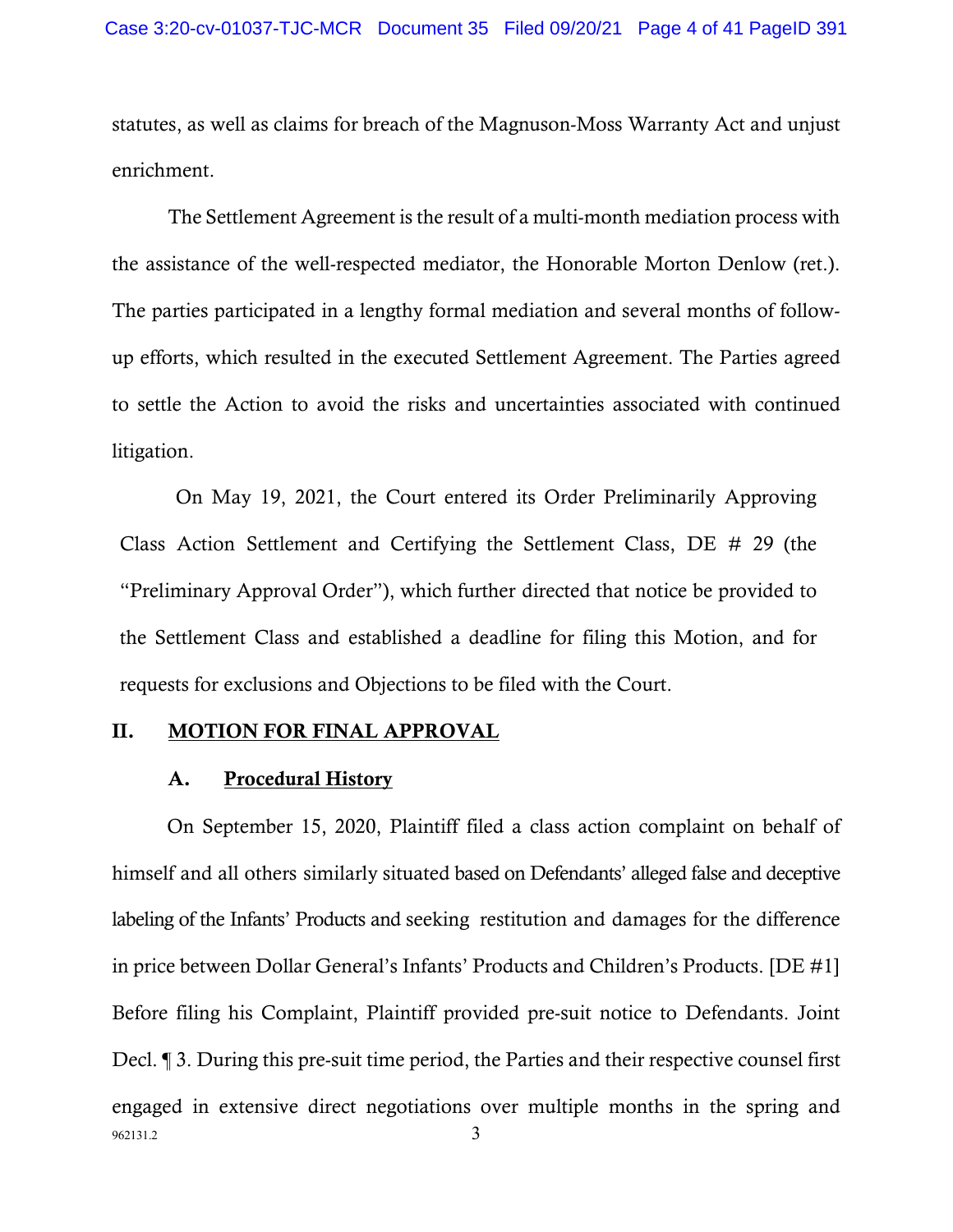statutes, as well as claims for breach of the Magnuson-Moss Warranty Act and unjust enrichment.

The Settlement Agreement is the result of a multi-month mediation process with the assistance of the well-respected mediator, the Honorable Morton Denlow (ret.). The parties participated in a lengthy formal mediation and several months of followup efforts, which resulted in the executed Settlement Agreement. The Parties agreed to settle the Action to avoid the risks and uncertainties associated with continued litigation.

On May 19, 2021, the Court entered its Order Preliminarily Approving Class Action Settlement and Certifying the Settlement Class, DE # 29 (the "Preliminary Approval Order"), which further directed that notice be provided to the Settlement Class and established a deadline for filing this Motion, and for requests for exclusions and Objections to be filed with the Court.

### II. MOTION FOR FINAL APPROVAL

#### A. Procedural History

962131.2 3 On September 15, 2020, Plaintiff filed a class action complaint on behalf of himself and all others similarly situated based on Defendants' alleged false and deceptive labeling of the Infants' Products and seeking restitution and damages for the difference in price between Dollar General's Infants' Products and Children's Products. [DE #1] Before filing his Complaint, Plaintiff provided pre-suit notice to Defendants. Joint Decl. ¶ 3. During this pre-suit time period, the Parties and their respective counsel first engaged in extensive direct negotiations over multiple months in the spring and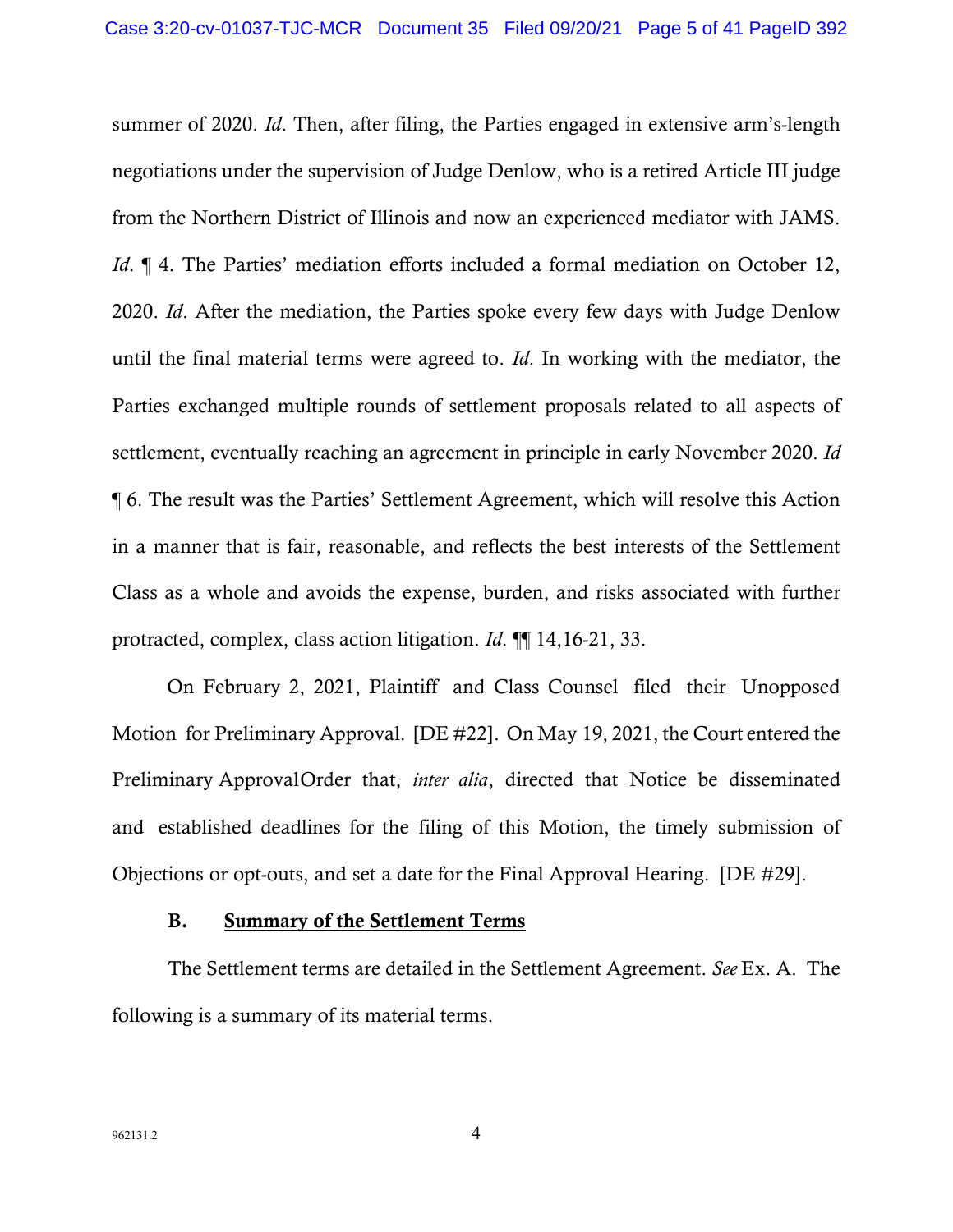summer of 2020. *Id*. Then, after filing, the Parties engaged in extensive arm's-length negotiations under the supervision of Judge Denlow, who is a retired Article III judge from the Northern District of Illinois and now an experienced mediator with JAMS. *Id.*  $\parallel$  4. The Parties' mediation efforts included a formal mediation on October 12, 2020. *Id*. After the mediation, the Parties spoke every few days with Judge Denlow until the final material terms were agreed to. *Id*. In working with the mediator, the Parties exchanged multiple rounds of settlement proposals related to all aspects of settlement, eventually reaching an agreement in principle in early November 2020. *Id* ¶ 6. The result was the Parties' Settlement Agreement, which will resolve this Action in a manner that is fair, reasonable, and reflects the best interests of the Settlement Class as a whole and avoids the expense, burden, and risks associated with further protracted, complex, class action litigation. *Id*. ¶¶ 14,16-21, 33.

On February 2, 2021, Plaintiff and Class Counsel filed their Unopposed Motion for Preliminary Approval. [DE #22]. On May 19, 2021, the Court entered the Preliminary ApprovalOrder that, *inter alia*, directed that Notice be disseminated and established deadlines for the filing of this Motion, the timely submission of Objections or opt-outs, and set a date for the Final Approval Hearing. [DE #29].

#### B. Summary of the Settlement Terms

The Settlement terms are detailed in the Settlement Agreement. *See* Ex. A. The following is a summary of its material terms.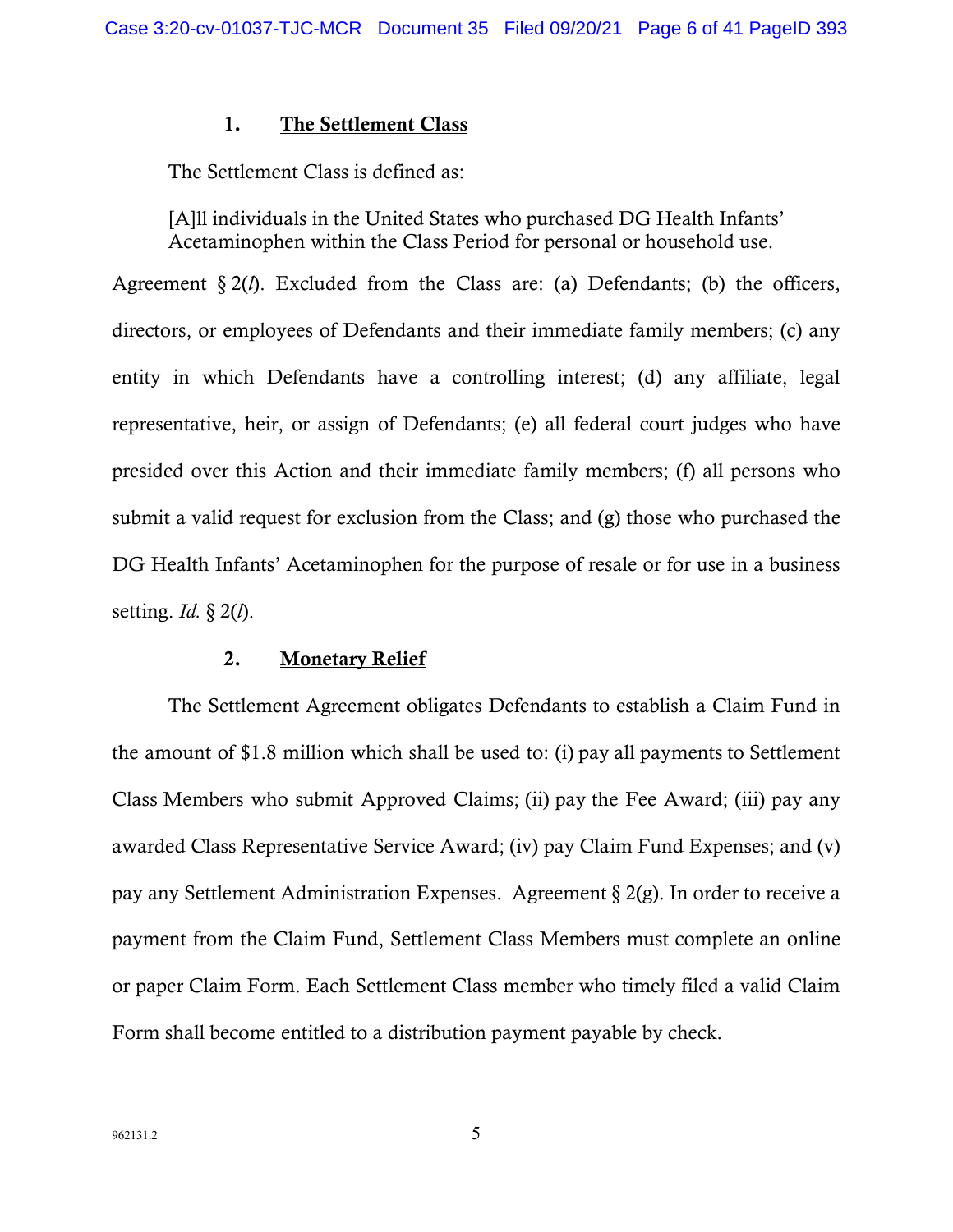### 1. The Settlement Class

The Settlement Class is defined as:

[A]ll individuals in the United States who purchased DG Health Infants' Acetaminophen within the Class Period for personal or household use.

Agreement § 2(*l*). Excluded from the Class are: (a) Defendants; (b) the officers, directors, or employees of Defendants and their immediate family members; (c) any entity in which Defendants have a controlling interest; (d) any affiliate, legal representative, heir, or assign of Defendants; (e) all federal court judges who have presided over this Action and their immediate family members; (f) all persons who submit a valid request for exclusion from the Class; and (g) those who purchased the DG Health Infants' Acetaminophen for the purpose of resale or for use in a business setting. *Id.* § 2(*l*).

#### 2. Monetary Relief

The Settlement Agreement obligates Defendants to establish a Claim Fund in the amount of \$1.8 million which shall be used to: (i) pay all payments to Settlement Class Members who submit Approved Claims; (ii) pay the Fee Award; (iii) pay any awarded Class Representative Service Award; (iv) pay Claim Fund Expenses; and (v) pay any Settlement Administration Expenses. Agreement § 2(g). In order to receive a payment from the Claim Fund, Settlement Class Members must complete an online or paper Claim Form. Each Settlement Class member who timely filed a valid Claim Form shall become entitled to a distribution payment payable by check.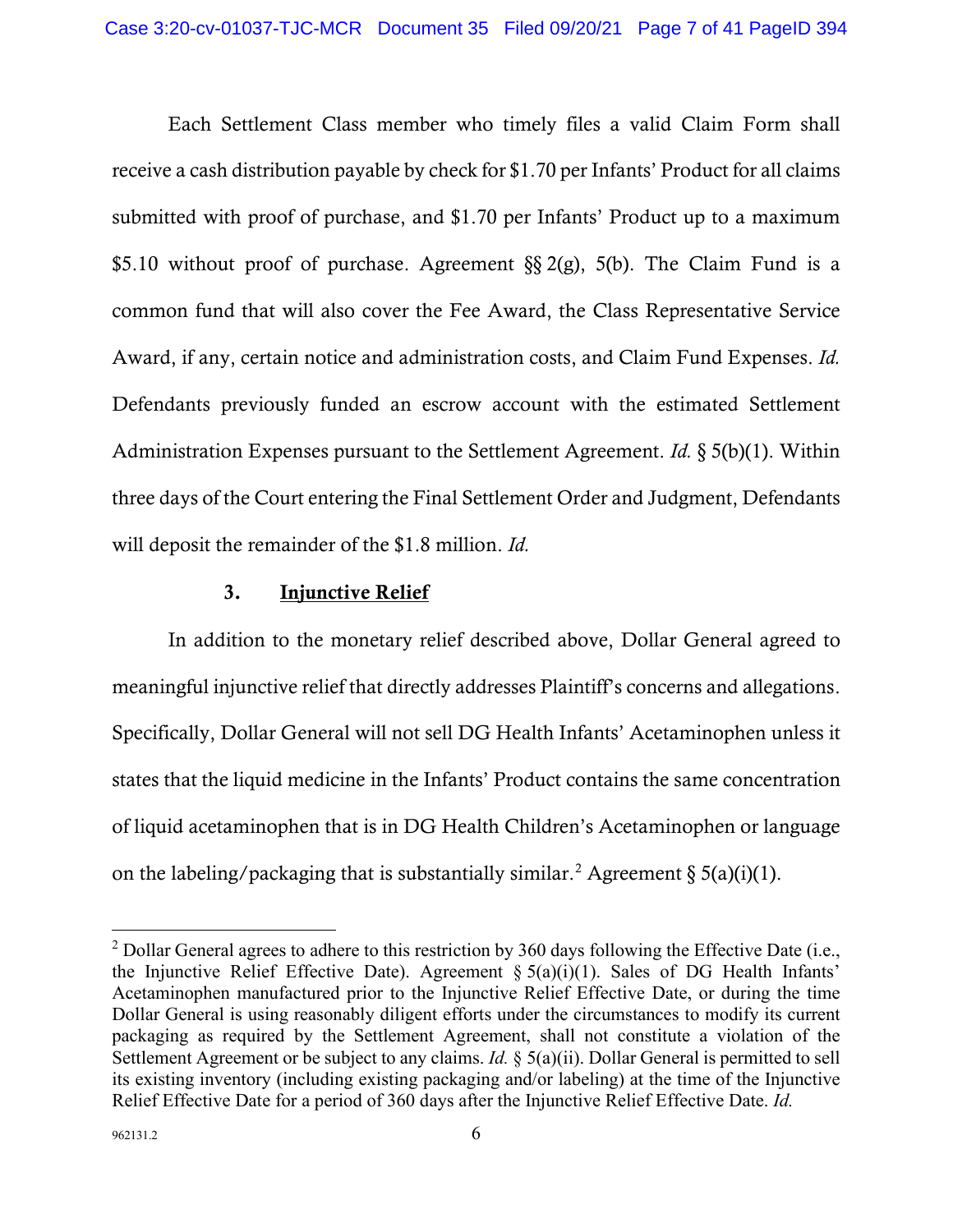Each Settlement Class member who timely files a valid Claim Form shall receive a cash distribution payable by check for \$1.70 per Infants' Product for all claims submitted with proof of purchase, and \$1.70 per Infants' Product up to a maximum \$5.10 without proof of purchase. Agreement §§ 2(g), 5(b). The Claim Fund is a common fund that will also cover the Fee Award, the Class Representative Service Award, if any, certain notice and administration costs, and Claim Fund Expenses. *Id.* Defendants previously funded an escrow account with the estimated Settlement Administration Expenses pursuant to the Settlement Agreement. *Id.* § 5(b)(1). Within three days of the Court entering the Final Settlement Order and Judgment, Defendants will deposit the remainder of the \$1.8 million. *Id.*

# 3. Injunctive Relief

In addition to the monetary relief described above, Dollar General agreed to meaningful injunctive relief that directly addresses Plaintiff's concerns and allegations. Specifically, Dollar General will not sell DG Health Infants' Acetaminophen unless it states that the liquid medicine in the Infants' Product contains the same concentration of liquid acetaminophen that is in DG Health Children's Acetaminophen or language on the labeling/packaging that is substantially similar.<sup>[2](#page-6-0)</sup> Agreement  $\S 5(a)(i)(1)$ .

<span id="page-6-0"></span><sup>&</sup>lt;sup>2</sup> Dollar General agrees to adhere to this restriction by 360 days following the Effective Date (i.e., the Injunctive Relief Effective Date). Agreement  $\S 5(a)(i)(1)$ . Sales of DG Health Infants' Acetaminophen manufactured prior to the Injunctive Relief Effective Date, or during the time Dollar General is using reasonably diligent efforts under the circumstances to modify its current packaging as required by the Settlement Agreement, shall not constitute a violation of the Settlement Agreement or be subject to any claims. *Id.* § 5(a)(ii). Dollar General is permitted to sell its existing inventory (including existing packaging and/or labeling) at the time of the Injunctive Relief Effective Date for a period of 360 days after the Injunctive Relief Effective Date. *Id.*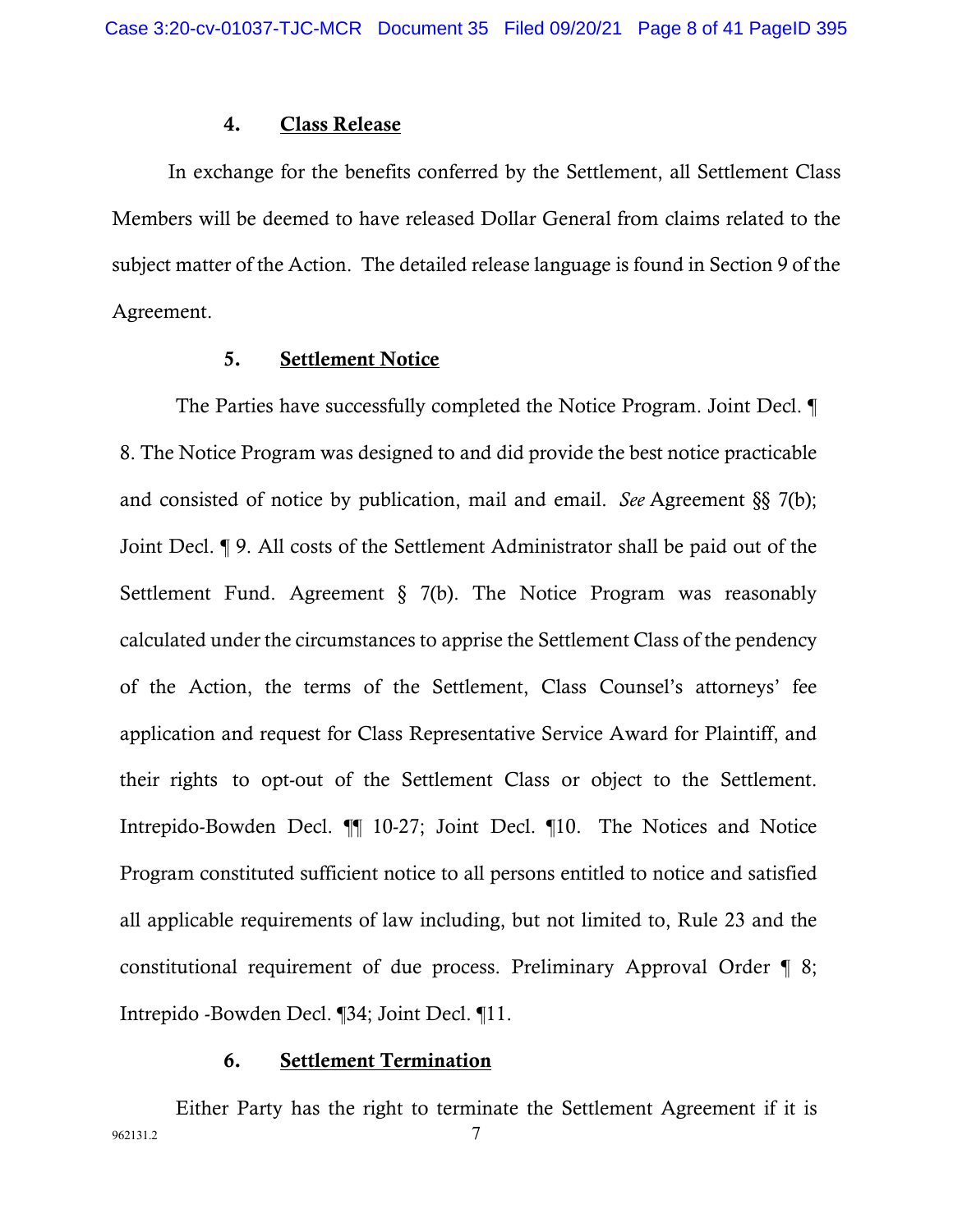#### 4. Class Release

In exchange for the benefits conferred by the Settlement, all Settlement Class Members will be deemed to have released Dollar General from claims related to the subject matter of the Action. The detailed release language is found in Section 9 of the Agreement.

#### 5. Settlement Notice

The Parties have successfully completed the Notice Program. Joint Decl. ¶ 8. The Notice Program was designed to and did provide the best notice practicable and consisted of notice by publication, mail and email. *See* Agreement §§ 7(b); Joint Decl. ¶ 9. All costs of the Settlement Administrator shall be paid out of the Settlement Fund. Agreement § 7(b). The Notice Program was reasonably calculated under the circumstances to apprise the Settlement Class of the pendency of the Action, the terms of the Settlement, Class Counsel's attorneys' fee application and request for Class Representative Service Award for Plaintiff, and their rights to opt-out of the Settlement Class or object to the Settlement. Intrepido-Bowden Decl. ¶¶ 10-27; Joint Decl. ¶10. The Notices and Notice Program constituted sufficient notice to all persons entitled to notice and satisfied all applicable requirements of law including, but not limited to, Rule 23 and the constitutional requirement of due process. Preliminary Approval Order ¶ 8; Intrepido -Bowden Decl. ¶34; Joint Decl. ¶11.

#### 6. Settlement Termination

962131.2 7 Either Party has the right to terminate the Settlement Agreement if it is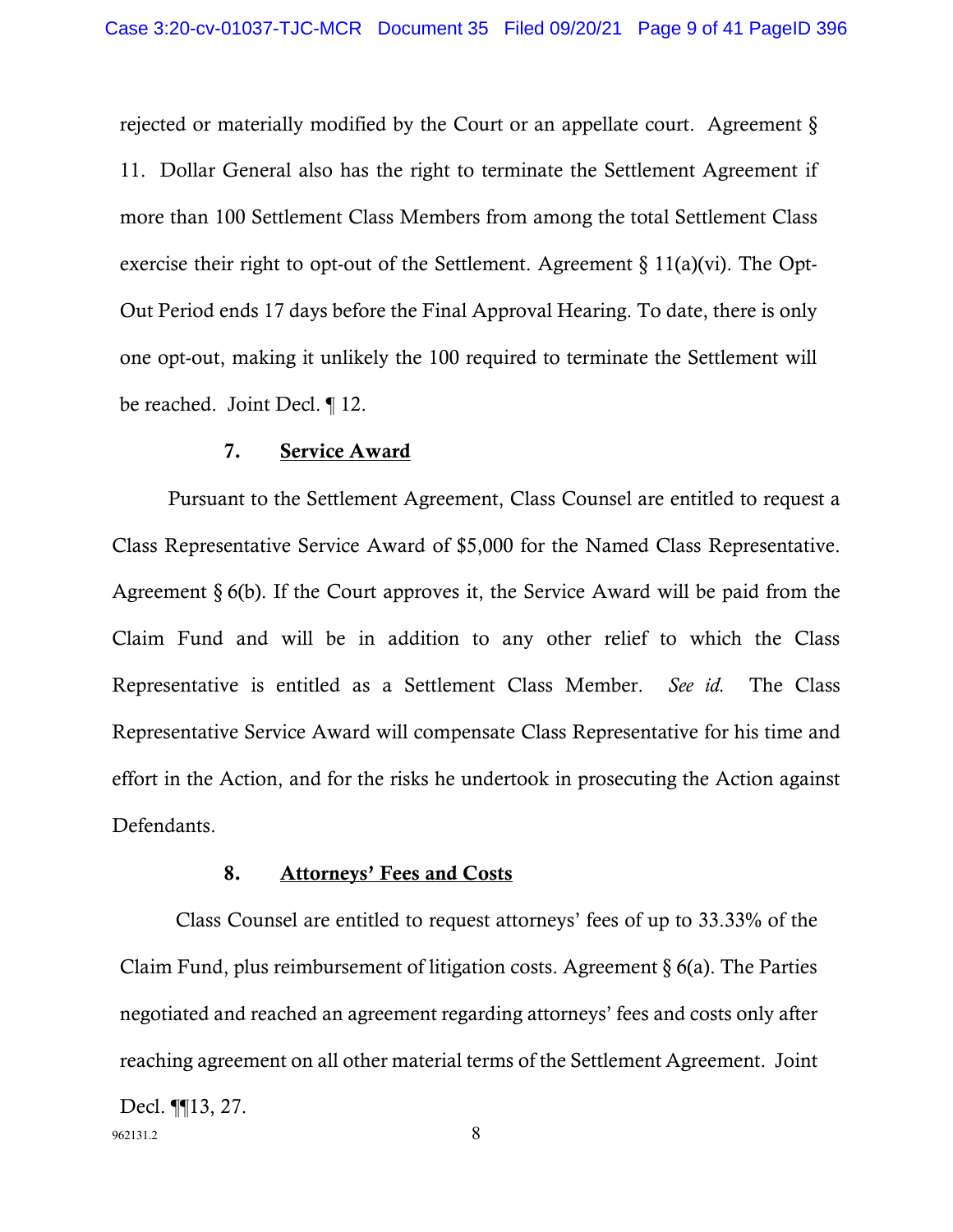rejected or materially modified by the Court or an appellate court. Agreement § 11. Dollar General also has the right to terminate the Settlement Agreement if more than 100 Settlement Class Members from among the total Settlement Class exercise their right to opt-out of the Settlement. Agreement  $\S 11(a)(vi)$ . The Opt-Out Period ends 17 days before the Final Approval Hearing. To date, there is only one opt-out, making it unlikely the 100 required to terminate the Settlement will be reached. Joint Decl. ¶ 12.

#### 7. Service Award

Pursuant to the Settlement Agreement, Class Counsel are entitled to request a Class Representative Service Award of \$5,000 for the Named Class Representative. Agreement § 6(b). If the Court approves it, the Service Award will be paid from the Claim Fund and will be in addition to any other relief to which the Class Representative is entitled as a Settlement Class Member. *See id.* The Class Representative Service Award will compensate Class Representative for his time and effort in the Action, and for the risks he undertook in prosecuting the Action against Defendants.

### 8. Attorneys' Fees and Costs

Class Counsel are entitled to request attorneys' fees of up to 33.33% of the Claim Fund, plus reimbursement of litigation costs. Agreement § 6(a). The Parties negotiated and reached an agreement regarding attorneys' fees and costs only after reaching agreement on all other material terms of the Settlement Agreement. Joint

962131.2 8 Decl. ¶¶13, 27.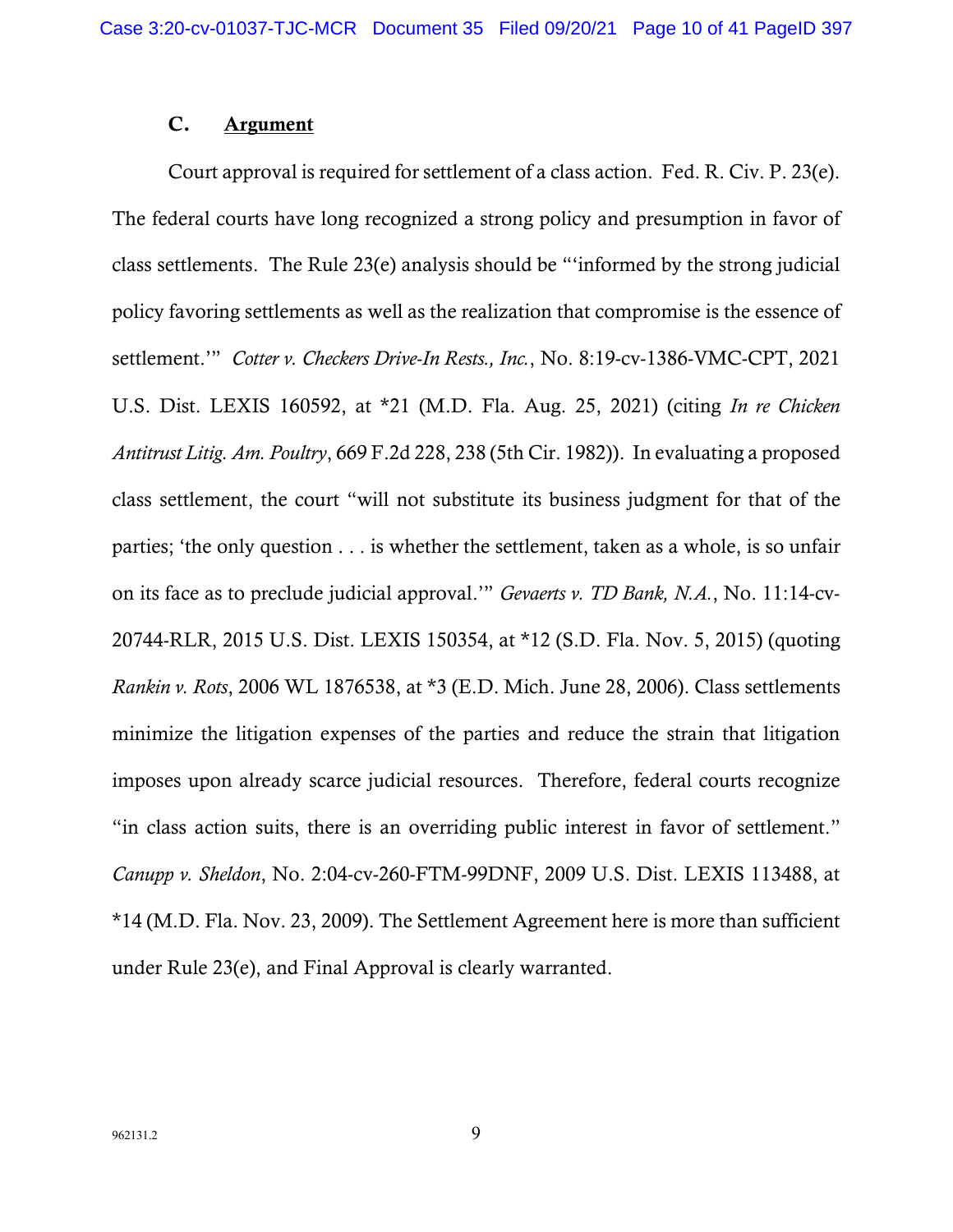### C. Argument

Court approval is required for settlement of a class action. Fed. R. Civ. P. 23(e). The federal courts have long recognized a strong policy and presumption in favor of class settlements. The Rule 23(e) analysis should be "'informed by the strong judicial policy favoring settlements as well as the realization that compromise is the essence of settlement.'" *Cotter v. Checkers Drive-In Rests., Inc.*, No. 8:19-cv-1386-VMC-CPT, 2021 U.S. Dist. LEXIS 160592, at \*21 (M.D. Fla. Aug. 25, 2021) (citing *In re Chicken Antitrust Litig. Am. Poultry*, 669 F.2d 228, 238 (5th Cir. 1982)). In evaluating a proposed class settlement, the court "will not substitute its business judgment for that of the parties; 'the only question . . . is whether the settlement, taken as a whole, is so unfair on its face as to preclude judicial approval.'" *Gevaerts v. TD Bank, N.A.*, No. 11:14-cv-20744-RLR, 2015 U.S. Dist. LEXIS 150354, at \*12 (S.D. Fla. Nov. 5, 2015) (quoting *Rankin v. Rots*, 2006 WL 1876538, at \*3 (E.D. Mich. June 28, 2006). Class settlements minimize the litigation expenses of the parties and reduce the strain that litigation imposes upon already scarce judicial resources. Therefore, federal courts recognize "in class action suits, there is an overriding public interest in favor of settlement." *Canupp v. Sheldon*, No. 2:04-cv-260-FTM-99DNF, 2009 U.S. Dist. LEXIS 113488, at \*14 (M.D. Fla. Nov. 23, 2009). The Settlement Agreement here is more than sufficient under Rule 23(e), and Final Approval is clearly warranted.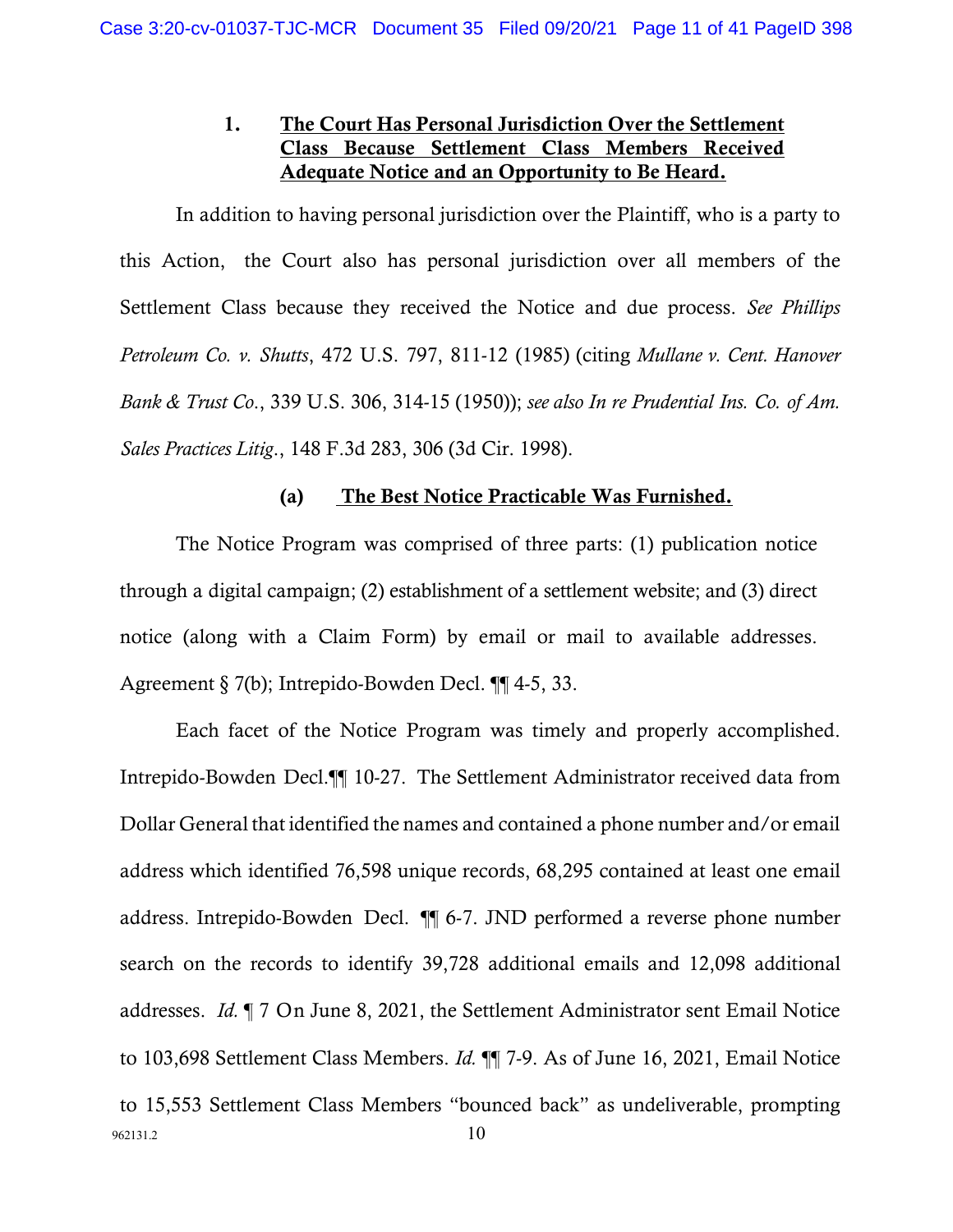# 1. The Court Has Personal Jurisdiction Over the Settlement Class Because Settlement Class Members Received Adequate Notice and an Opportunity to Be Heard.

In addition to having personal jurisdiction over the Plaintiff, who is a party to this Action, the Court also has personal jurisdiction over all members of the Settlement Class because they received the Notice and due process. *See Phillips Petroleum Co. v. Shutts*, 472 U.S. 797, 811-12 (1985) (citing *Mullane v. Cent. Hanover Bank & Trust Co*., 339 U.S. 306, 314-15 (1950)); *see also In re Prudential Ins. Co. of Am. Sales Practices Litig*., 148 F.3d 283, 306 (3d Cir. 1998).

# (a) The Best Notice Practicable Was Furnished.

The Notice Program was comprised of three parts: (1) publication notice through a digital campaign; (2) establishment of a settlement website; and (3) direct notice (along with a Claim Form) by email or mail to available addresses. Agreement § 7(b); Intrepido-Bowden Decl. ¶¶ 4-5, 33.

 $962131.2$  10 Each facet of the Notice Program was timely and properly accomplished. Intrepido-Bowden Decl.¶¶ 10-27. The Settlement Administrator received data from Dollar General that identified the names and contained a phone number and/or email address which identified 76,598 unique records, 68,295 contained at least one email address. Intrepido-Bowden Decl. ¶¶ 6-7. JND performed a reverse phone number search on the records to identify 39,728 additional emails and 12,098 additional addresses. *Id.* ¶ 7 On June 8, 2021, the Settlement Administrator sent Email Notice to 103,698 Settlement Class Members. *Id.* ¶¶ 7-9. As of June 16, 2021, Email Notice to 15,553 Settlement Class Members "bounced back" as undeliverable, prompting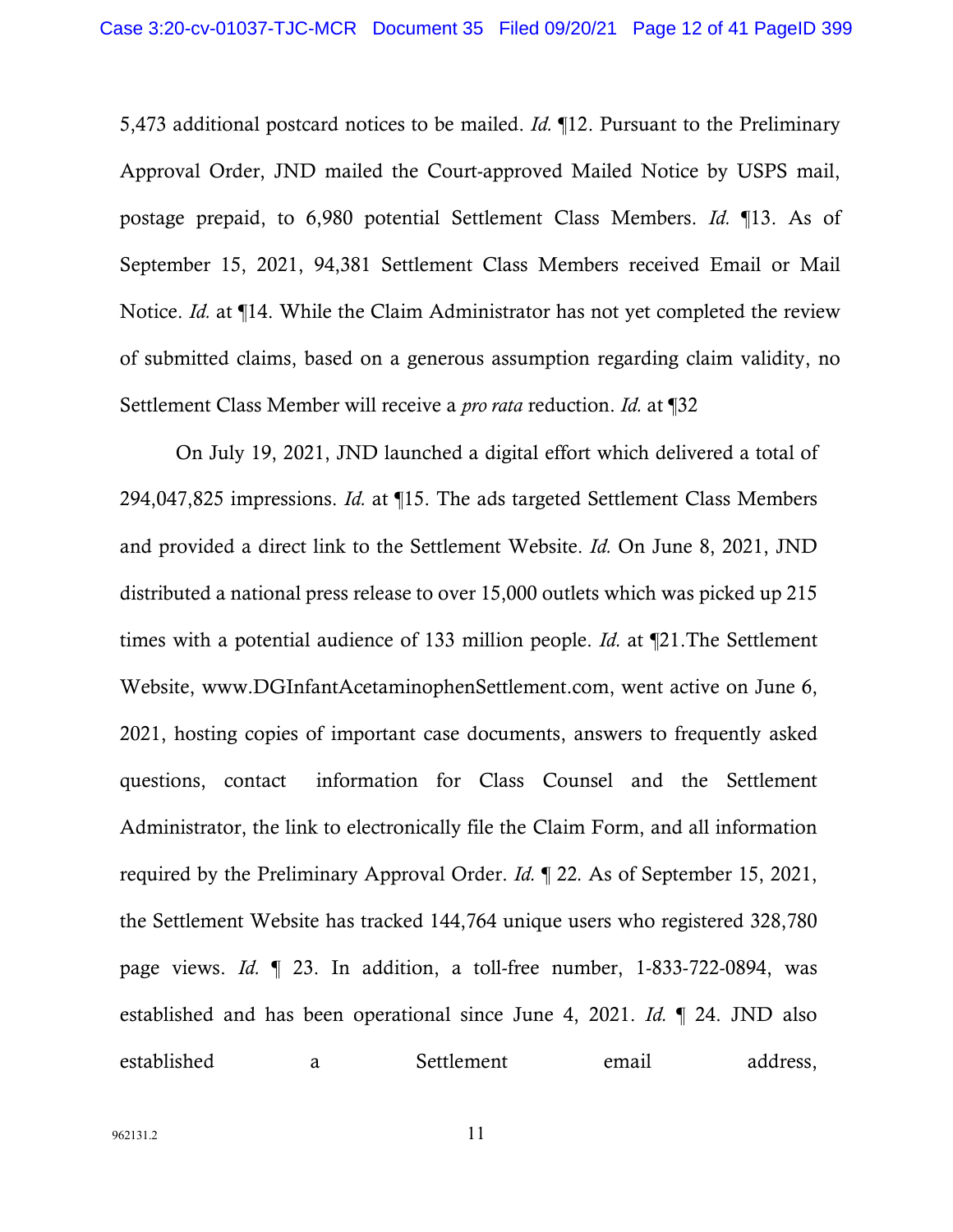5,473 additional postcard notices to be mailed. *Id.* ¶12. Pursuant to the Preliminary Approval Order, JND mailed the Court-approved Mailed Notice by USPS mail, postage prepaid, to 6,980 potential Settlement Class Members. *Id.* ¶13. As of September 15, 2021, 94,381 Settlement Class Members received Email or Mail Notice. *Id.* at ¶14. While the Claim Administrator has not yet completed the review of submitted claims, based on a generous assumption regarding claim validity, no Settlement Class Member will receive a *pro rata* reduction. *Id.* at ¶32

On July 19, 2021, JND launched a digital effort which delivered a total of 294,047,825 impressions. *Id.* at ¶15. The ads targeted Settlement Class Members and provided a direct link to the Settlement Website. *Id.* On June 8, 2021, JND distributed a national press release to over 15,000 outlets which was picked up 215 times with a potential audience of 133 million people. *Id.* at ¶21.The Settlement Website, www.DGInfantAcetaminophenSettlement.com, went active on June 6, 2021, hosting copies of important case documents, answers to frequently asked questions, contact information for Class Counsel and the Settlement Administrator, the link to electronically file the Claim Form, and all information required by the Preliminary Approval Order. *Id.* ¶ 22*.* As of September 15, 2021, the Settlement Website has tracked 144,764 unique users who registered 328,780 page views. *Id.* ¶ 23. In addition, a toll-free number, 1-833-722-0894, was established and has been operational since June 4, 2021. *Id.* ¶ 24. JND also established a Settlement email address,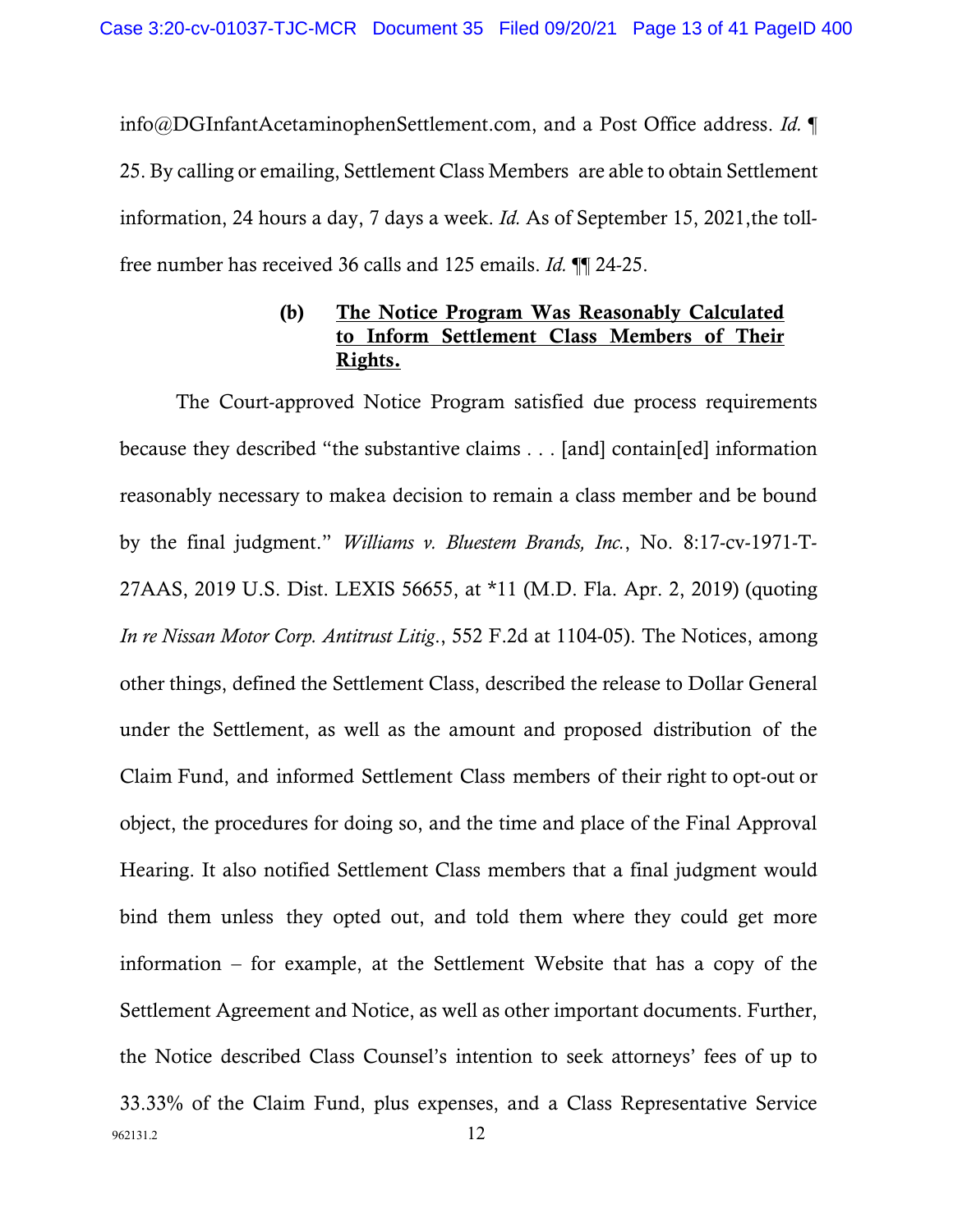info@DGInfantAcetaminophenSettlement.com, and a Post Office address. *Id.* ¶ 25. By calling or emailing, Settlement Class Members are able to obtain Settlement information, 24 hours a day, 7 days a week. *Id.* As of September 15, 2021,the tollfree number has received 36 calls and 125 emails. *Id.* ¶¶ 24-25.

# (b) The Notice Program Was Reasonably Calculated to Inform Settlement Class Members of Their Rights.

962131.2 12 The Court-approved Notice Program satisfied due process requirements because they described "the substantive claims . . . [and] contain[ed] information reasonably necessary to makea decision to remain a class member and be bound by the final judgment." *Williams v. Bluestem Brands, Inc.*, No. 8:17-cv-1971-T-27AAS, 2019 U.S. Dist. LEXIS 56655, at \*11 (M.D. Fla. Apr. 2, 2019) (quoting *In re Nissan Motor Corp. Antitrust Litig*., 552 F.2d at 1104-05). The Notices, among other things, defined the Settlement Class, described the release to Dollar General under the Settlement, as well as the amount and proposed distribution of the Claim Fund, and informed Settlement Class members of their right to opt-out or object, the procedures for doing so, and the time and place of the Final Approval Hearing. It also notified Settlement Class members that a final judgment would bind them unless they opted out, and told them where they could get more information – for example, at the Settlement Website that has a copy of the Settlement Agreement and Notice, as well as other important documents. Further, the Notice described Class Counsel's intention to seek attorneys' fees of up to 33.33% of the Claim Fund, plus expenses, and a Class Representative Service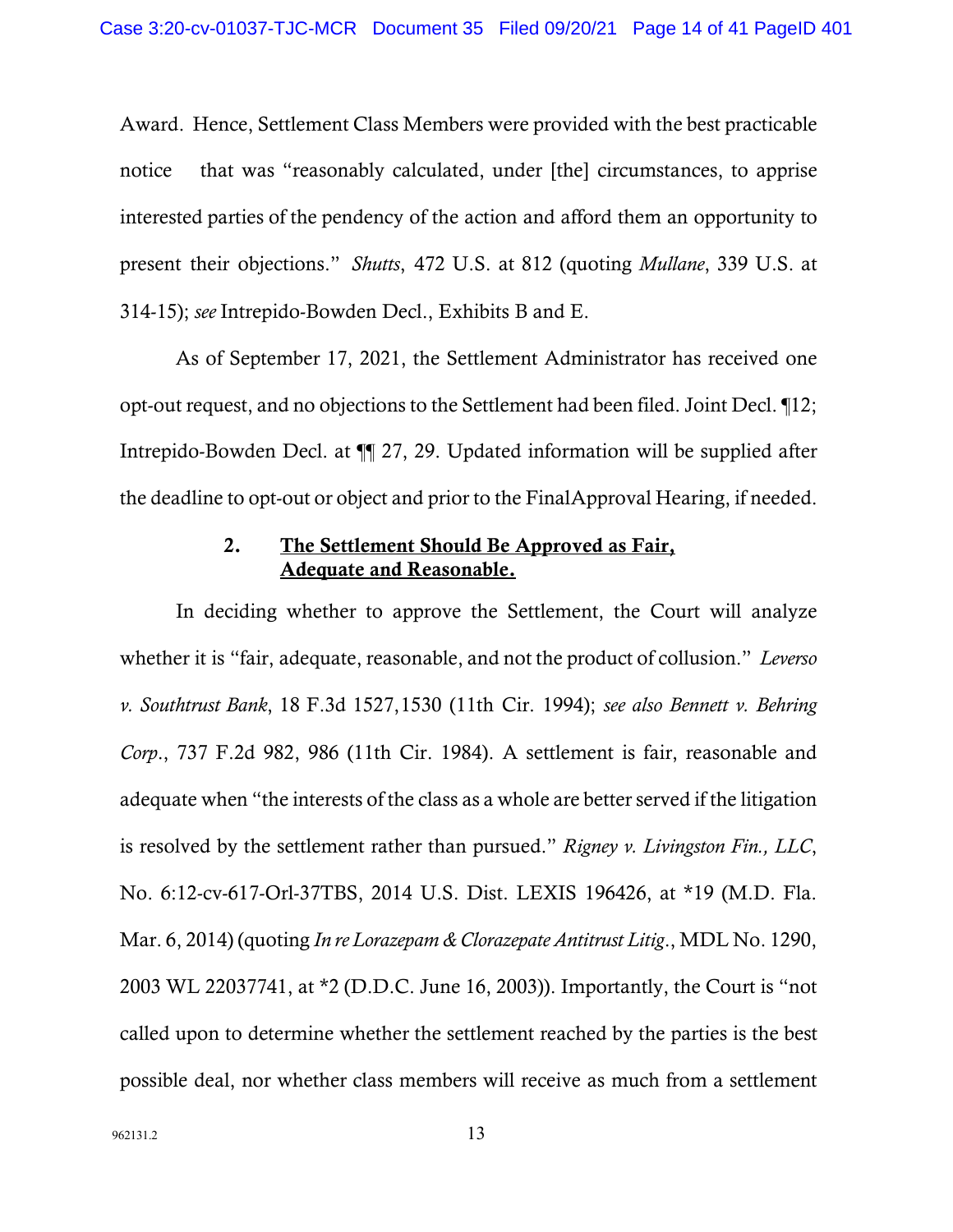Award. Hence, Settlement Class Members were provided with the best practicable notice that was "reasonably calculated, under [the] circumstances, to apprise interested parties of the pendency of the action and afford them an opportunity to present their objections." *Shutts*, 472 U.S. at 812 (quoting *Mullane*, 339 U.S. at 314-15); *see* Intrepido-Bowden Decl., Exhibits B and E.

As of September 17, 2021, the Settlement Administrator has received one opt-out request, and no objections to the Settlement had been filed. Joint Decl. ¶12; Intrepido-Bowden Decl. at ¶¶ 27, 29. Updated information will be supplied after the deadline to opt-out or object and prior to the FinalApproval Hearing, if needed.

## 2. The Settlement Should Be Approved as Fair, Adequate and Reasonable.

In deciding whether to approve the Settlement, the Court will analyze whether it is "fair, adequate, reasonable, and not the product of collusion." *Leverso v. Southtrust Bank*, 18 F.3d 1527,1530 (11th Cir. 1994); *see also Bennett v. Behring Corp*., 737 F.2d 982, 986 (11th Cir. 1984). A settlement is fair, reasonable and adequate when "the interests of the class as a whole are better served if the litigation is resolved by the settlement rather than pursued." *Rigney v. Livingston Fin., LLC*, No. 6:12-cv-617-Orl-37TBS, 2014 U.S. Dist. LEXIS 196426, at \*19 (M.D. Fla. Mar. 6, 2014) (quoting *In re Lorazepam & Clorazepate Antitrust Litig*., MDL No. 1290, 2003 WL 22037741, at \*2 (D.D.C. June 16, 2003)). Importantly, the Court is "not called upon to determine whether the settlement reached by the parties is the best possible deal, nor whether class members will receive as much from a settlement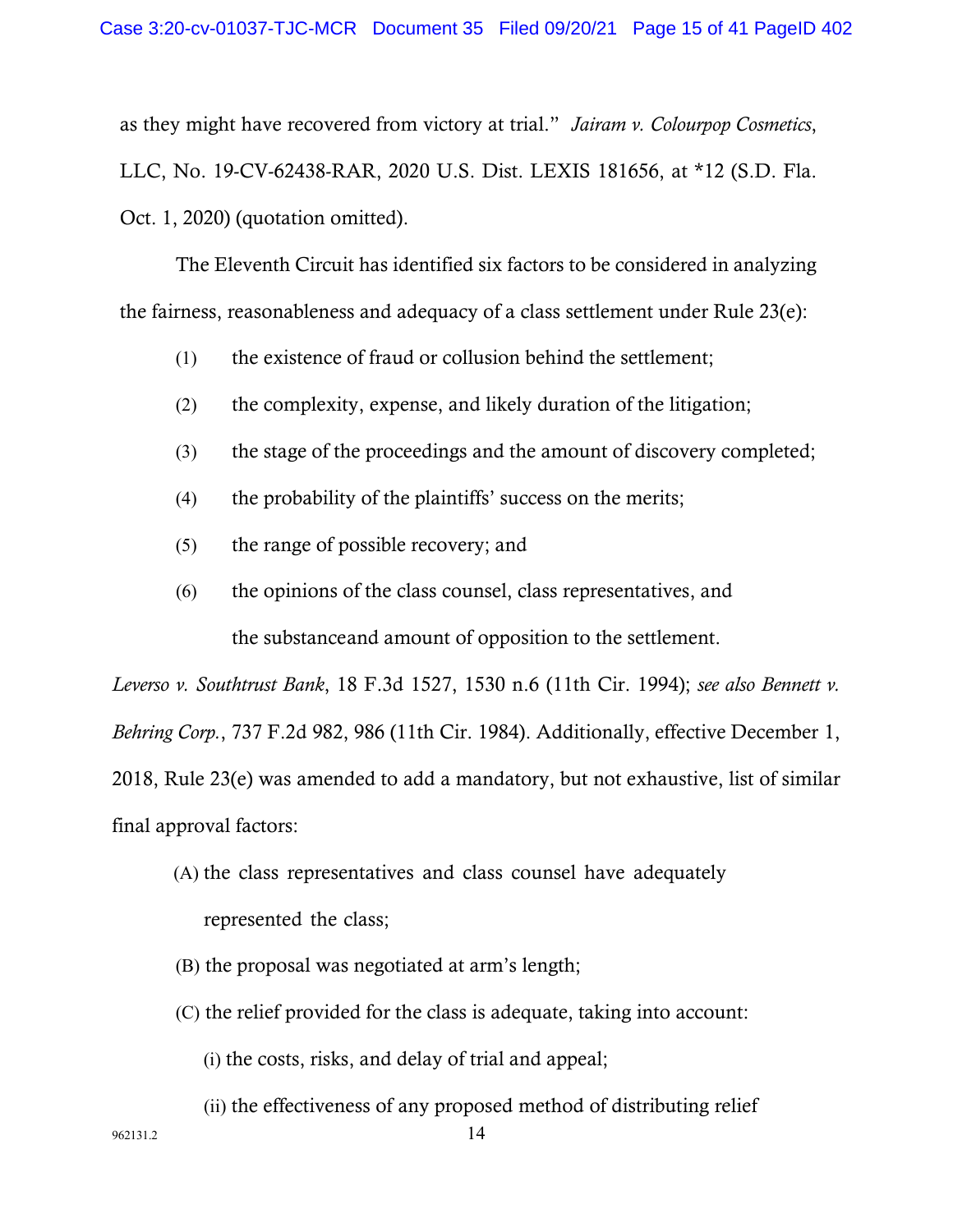as they might have recovered from victory at trial." *Jairam v. Colourpop Cosmetics*, LLC, No. 19-CV-62438-RAR, 2020 U.S. Dist. LEXIS 181656, at \*12 (S.D. Fla. Oct. 1, 2020) (quotation omitted).

The Eleventh Circuit has identified six factors to be considered in analyzing the fairness, reasonableness and adequacy of a class settlement under Rule 23(e):

- (1) the existence of fraud or collusion behind the settlement;
- (2) the complexity, expense, and likely duration of the litigation;
- (3) the stage of the proceedings and the amount of discovery completed;
- (4) the probability of the plaintiffs' success on the merits;
- (5) the range of possible recovery; and
- (6) the opinions of the class counsel, class representatives, and the substanceand amount of opposition to the settlement.

*Leverso v. Southtrust Bank*, 18 F.3d 1527, 1530 n.6 (11th Cir. 1994); *see also Bennett v. Behring Corp.*, 737 F.2d 982, 986 (11th Cir. 1984). Additionally, effective December 1, 2018, Rule 23(e) was amended to add a mandatory, but not exhaustive, list of similar final approval factors:

- (A) the class representatives and class counsel have adequately represented the class;
- (B) the proposal was negotiated at arm's length;
- (C) the relief provided for the class is adequate, taking into account:

(i) the costs, risks, and delay of trial and appeal;

(ii) the effectiveness of any proposed method of distributing relief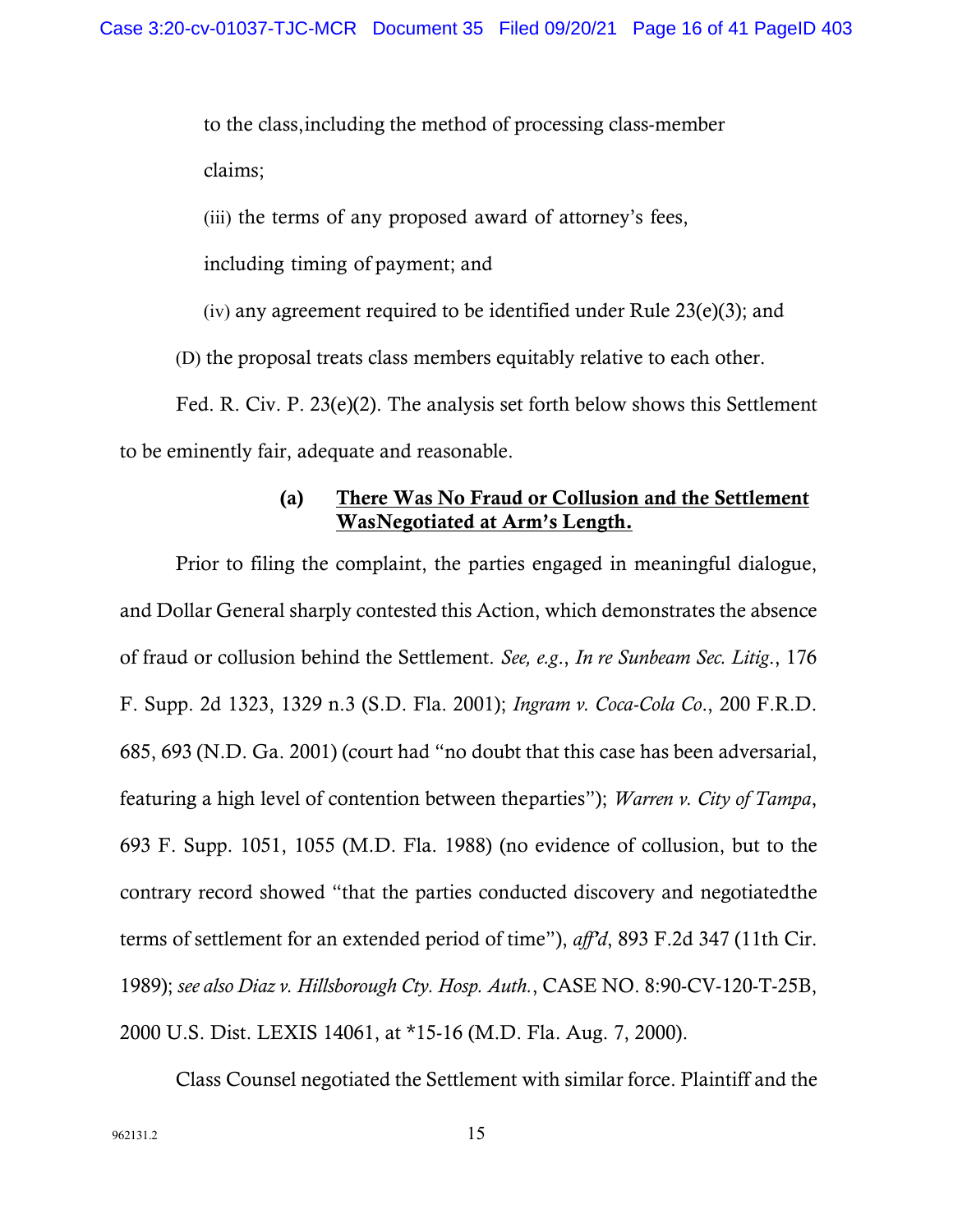to the class,including the method of processing class-member claims;

(iii) the terms of any proposed award of attorney's fees,

including timing of payment; and

(iv) any agreement required to be identified under Rule 23(e)(3); and

(D) the proposal treats class members equitably relative to each other.

Fed. R. Civ. P. 23(e)(2). The analysis set forth below shows this Settlement to be eminently fair, adequate and reasonable.

# (a) There Was No Fraud or Collusion and the Settlement WasNegotiated at Arm's Length.

Prior to filing the complaint, the parties engaged in meaningful dialogue, and Dollar General sharply contested this Action, which demonstrates the absence of fraud or collusion behind the Settlement. *See, e.g*., *In re Sunbeam Sec. Litig*., 176 F. Supp. 2d 1323, 1329 n.3 (S.D. Fla. 2001); *Ingram v. Coca-Cola Co*., 200 F.R.D. 685, 693 (N.D. Ga. 2001) (court had "no doubt that this case has been adversarial, featuring a high level of contention between theparties"); *Warren v. City of Tampa*, 693 F. Supp. 1051, 1055 (M.D. Fla. 1988) (no evidence of collusion, but to the contrary record showed "that the parties conducted discovery and negotiatedthe terms of settlement for an extended period of time"), *aff'd*, 893 F.2d 347 (11th Cir. 1989); *see also Diaz v. Hillsborough Cty. Hosp. Auth.*, CASE NO. 8:90-CV-120-T-25B, 2000 U.S. Dist. LEXIS 14061, at \*15-16 (M.D. Fla. Aug. 7, 2000).

Class Counsel negotiated the Settlement with similar force. Plaintiff and the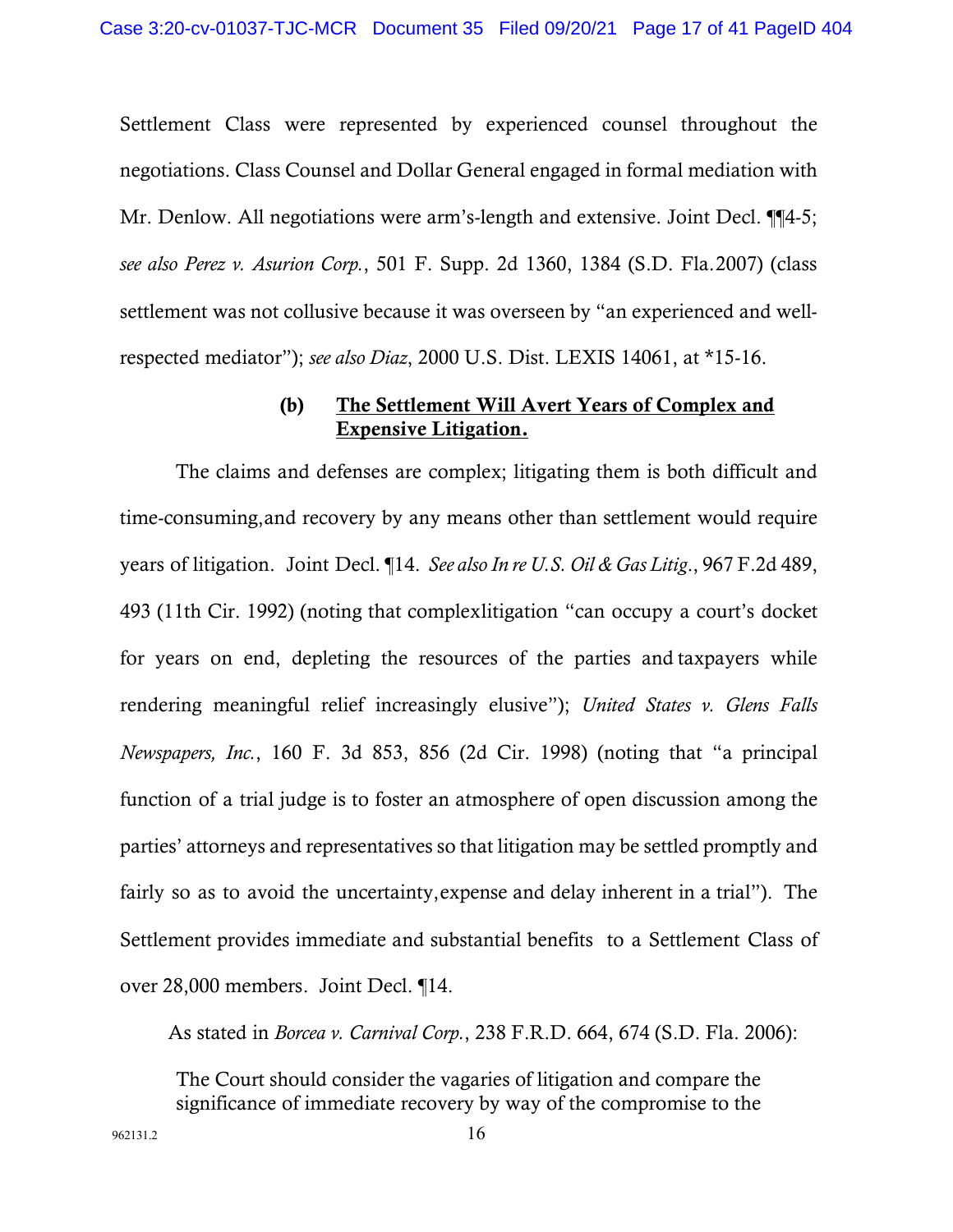Settlement Class were represented by experienced counsel throughout the negotiations. Class Counsel and Dollar General engaged in formal mediation with Mr. Denlow. All negotiations were arm's-length and extensive. Joint Decl. ¶[4-5; *see also Perez v. Asurion Corp.*, 501 F. Supp. 2d 1360, 1384 (S.D. Fla.2007) (class settlement was not collusive because it was overseen by "an experienced and wellrespected mediator"); *see also Diaz*, 2000 U.S. Dist. LEXIS 14061, at \*15-16.

## (b) The Settlement Will Avert Years of Complex and Expensive Litigation.

The claims and defenses are complex; litigating them is both difficult and time-consuming,and recovery by any means other than settlement would require years of litigation. Joint Decl. ¶14. *See also In re U.S. Oil & Gas Litig*., 967 F.2d 489, 493 (11th Cir. 1992) (noting that complexlitigation "can occupy a court's docket for years on end, depleting the resources of the parties and taxpayers while rendering meaningful relief increasingly elusive"); *United States v. Glens Falls Newspapers, Inc.*, 160 F. 3d 853, 856 (2d Cir. 1998) (noting that "a principal function of a trial judge is to foster an atmosphere of open discussion among the parties' attorneys and representatives so that litigation may be settled promptly and fairly so as to avoid the uncertainty,expense and delay inherent in a trial"). The Settlement provides immediate and substantial benefits to a Settlement Class of over 28,000 members. Joint Decl. ¶14.

As stated in *Borcea v. Carnival Corp.*, 238 F.R.D. 664, 674 (S.D. Fla. 2006):

The Court should consider the vagaries of litigation and compare the significance of immediate recovery by way of the compromise to the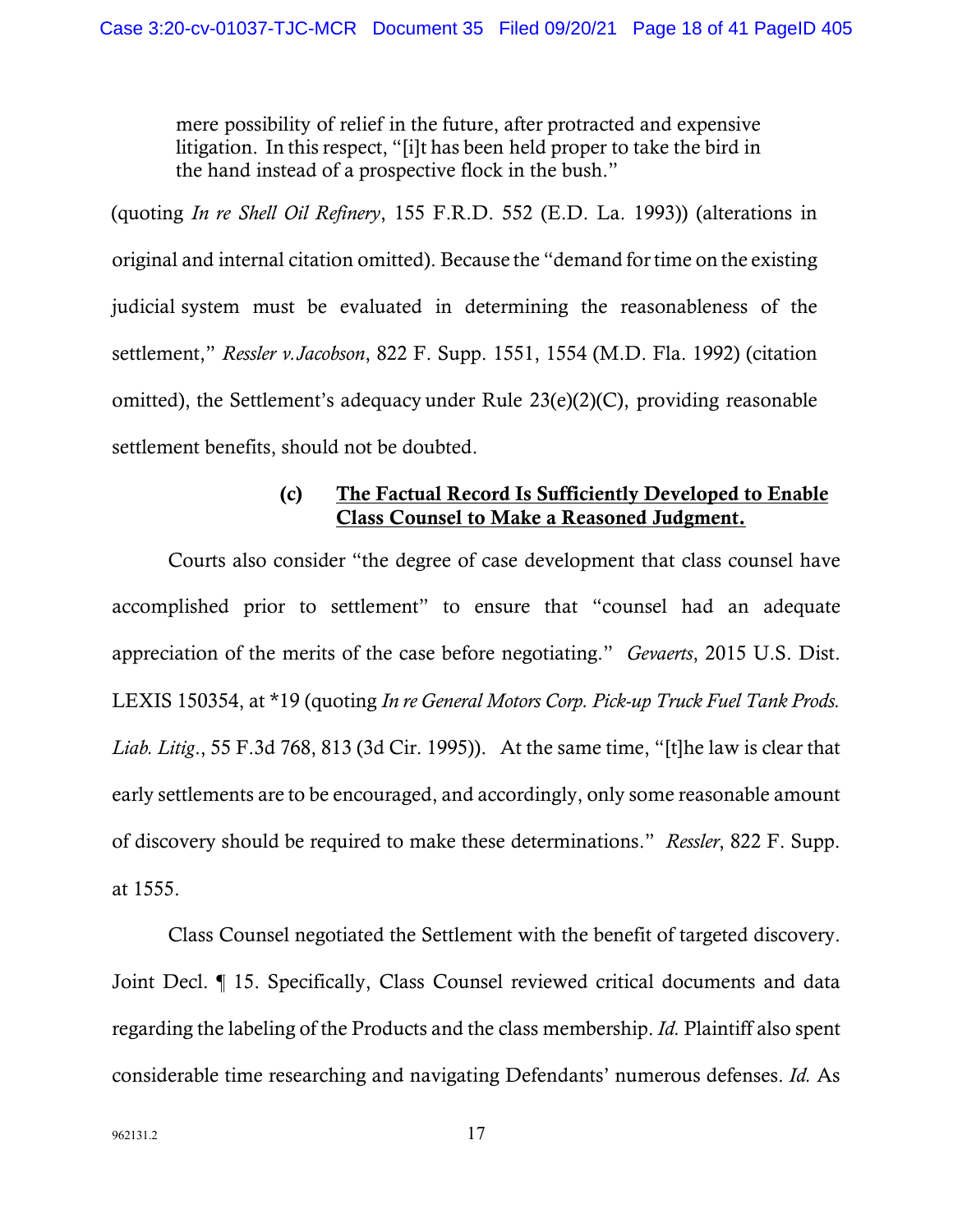mere possibility of relief in the future, after protracted and expensive litigation. In this respect, "[i]t has been held proper to take the bird in the hand instead of a prospective flock in the bush."

(quoting *In re Shell Oil Refinery*, 155 F.R.D. 552 (E.D. La. 1993)) (alterations in original and internal citation omitted). Because the "demand fortime on the existing judicial system must be evaluated in determining the reasonableness of the settlement," *Ressler v.Jacobson*, 822 F. Supp. 1551, 1554 (M.D. Fla. 1992) (citation omitted), the Settlement's adequacy under Rule 23(e)(2)(C), providing reasonable settlement benefits, should not be doubted.

# (c) The Factual Record Is Sufficiently Developed to Enable Class Counsel to Make a Reasoned Judgment.

Courts also consider "the degree of case development that class counsel have accomplished prior to settlement" to ensure that "counsel had an adequate appreciation of the merits of the case before negotiating." *Gevaerts*, 2015 U.S. Dist. LEXIS 150354, at \*19 (quoting *In re General Motors Corp. Pick-up Truck Fuel Tank Prods. Liab. Litig*., 55 F.3d 768, 813 (3d Cir. 1995)). At the same time, "[t]he law is clear that early settlements are to be encouraged, and accordingly, only some reasonable amount of discovery should be required to make these determinations." *Ressler*, 822 F. Supp. at 1555.

Class Counsel negotiated the Settlement with the benefit of targeted discovery. Joint Decl. ¶ 15. Specifically, Class Counsel reviewed critical documents and data regarding the labeling of the Products and the class membership. *Id.* Plaintiff also spent considerable time researching and navigating Defendants' numerous defenses. *Id.* As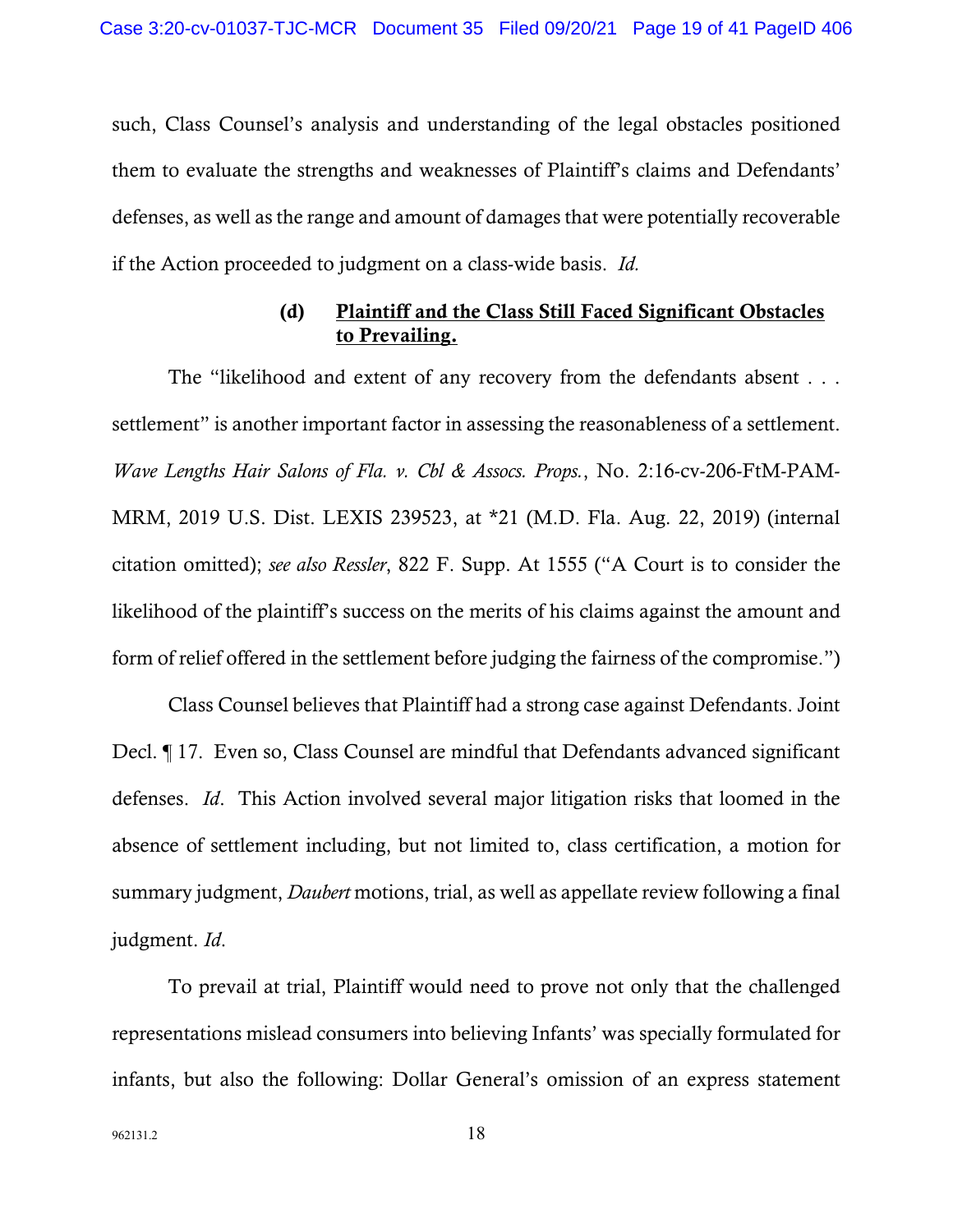such, Class Counsel's analysis and understanding of the legal obstacles positioned them to evaluate the strengths and weaknesses of Plaintiff's claims and Defendants' defenses, as well as the range and amount of damages that were potentially recoverable if the Action proceeded to judgment on a class-wide basis. *Id.*

## (d) Plaintiff and the Class Still Faced Significant Obstacles to Prevailing.

The "likelihood and extent of any recovery from the defendants absent . . . settlement" is another important factor in assessing the reasonableness of a settlement. *Wave Lengths Hair Salons of Fla. v. Cbl & Assocs. Props.*, No. 2:16-cv-206-FtM-PAM-MRM, 2019 U.S. Dist. LEXIS 239523, at \*21 (M.D. Fla. Aug. 22, 2019) (internal citation omitted); *see also Ressler*, 822 F. Supp. At 1555 ("A Court is to consider the likelihood of the plaintiff's success on the merits of his claims against the amount and form of relief offered in the settlement before judging the fairness of the compromise.")

Class Counsel believes that Plaintiff had a strong case against Defendants. Joint Decl. ¶ 17. Even so, Class Counsel are mindful that Defendants advanced significant defenses. *Id*. This Action involved several major litigation risks that loomed in the absence of settlement including, but not limited to, class certification, a motion for summary judgment, *Daubert* motions, trial, as well as appellate review following a final judgment. *Id*.

To prevail at trial, Plaintiff would need to prove not only that the challenged representations mislead consumers into believing Infants' was specially formulated for infants, but also the following: Dollar General's omission of an express statement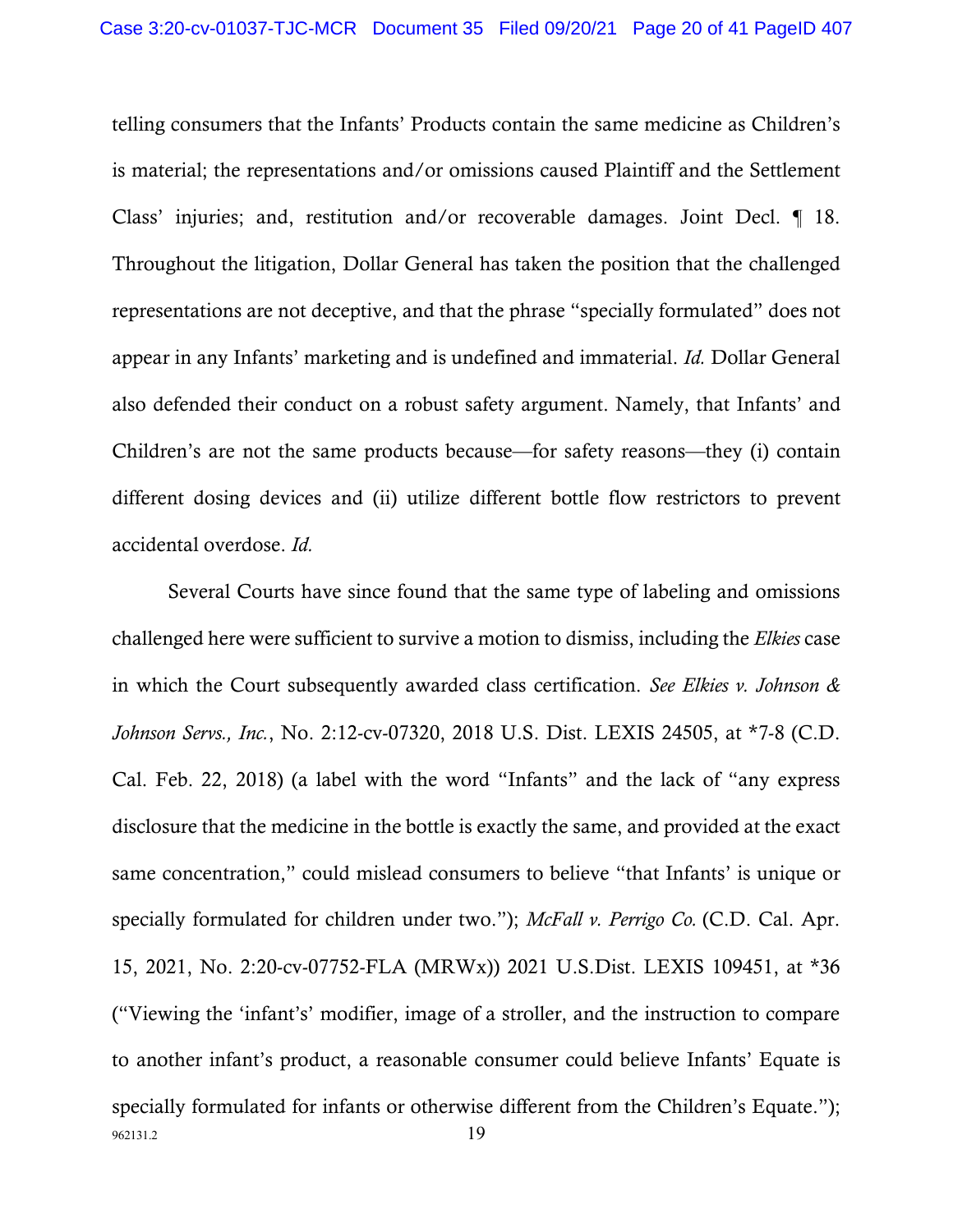telling consumers that the Infants' Products contain the same medicine as Children's is material; the representations and/or omissions caused Plaintiff and the Settlement Class' injuries; and, restitution and/or recoverable damages. Joint Decl. ¶ 18. Throughout the litigation, Dollar General has taken the position that the challenged representations are not deceptive, and that the phrase "specially formulated" does not appear in any Infants' marketing and is undefined and immaterial. *Id.* Dollar General also defended their conduct on a robust safety argument. Namely, that Infants' and Children's are not the same products because—for safety reasons—they (i) contain different dosing devices and (ii) utilize different bottle flow restrictors to prevent accidental overdose. *Id.*

962131.2 19 Several Courts have since found that the same type of labeling and omissions challenged here were sufficient to survive a motion to dismiss, including the *Elkies* case in which the Court subsequently awarded class certification. *See Elkies v. Johnson & Johnson Servs., Inc.*, No. 2:12-cv-07320, 2018 U.S. Dist. LEXIS 24505, at \*7-8 (C.D. Cal. Feb. 22, 2018) (a label with the word "Infants" and the lack of "any express disclosure that the medicine in the bottle is exactly the same, and provided at the exact same concentration," could mislead consumers to believe "that Infants' is unique or specially formulated for children under two."); *McFall v. Perrigo Co.* (C.D. Cal. Apr. 15, 2021, No. 2:20-cv-07752-FLA (MRWx)) 2021 U.S.Dist. LEXIS 109451, at \*36 ("Viewing the 'infant's' modifier, image of a stroller, and the instruction to compare to another infant's product, a reasonable consumer could believe Infants' Equate is specially formulated for infants or otherwise different from the Children's Equate.");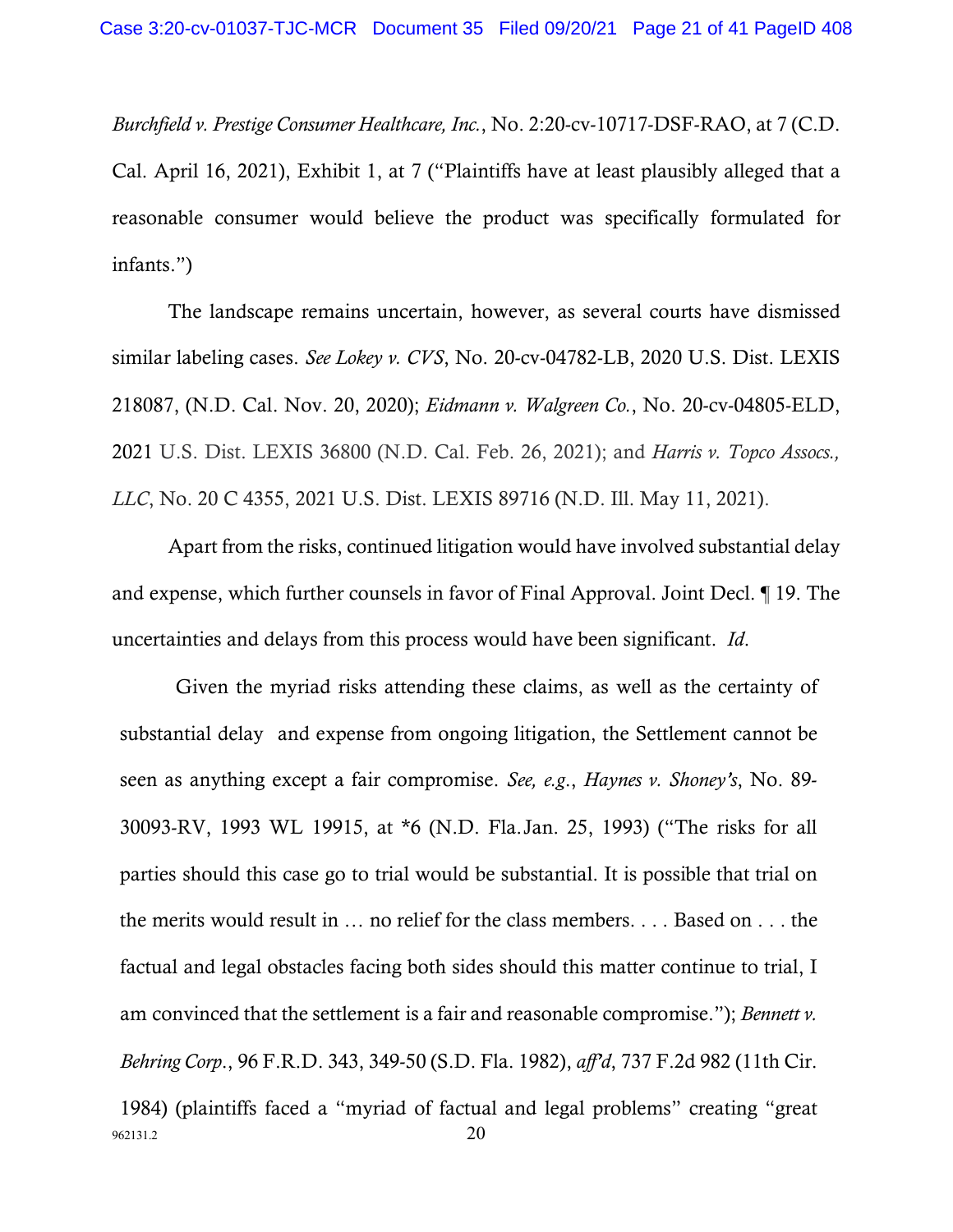*Burchfield v. Prestige Consumer Healthcare, Inc.*, No. 2:20-cv-10717-DSF-RAO, at 7 (C.D. Cal. April 16, 2021), Exhibit 1, at 7 ("Plaintiffs have at least plausibly alleged that a reasonable consumer would believe the product was specifically formulated for infants.")

The landscape remains uncertain, however, as several courts have dismissed similar labeling cases. *See Lokey v. CVS*, No. 20-cv-04782-LB, 2020 U.S. Dist. LEXIS 218087, (N.D. Cal. Nov. 20, 2020); *Eidmann v. Walgreen Co.*, No. 20-cv-04805-ELD, 2021 U.S. Dist. LEXIS 36800 (N.D. Cal. Feb. 26, 2021); and *Harris v. Topco Assocs., LLC*, No. 20 C 4355, 2021 U.S. Dist. LEXIS 89716 (N.D. Ill. May 11, 2021).

Apart from the risks, continued litigation would have involved substantial delay and expense, which further counsels in favor of Final Approval. Joint Decl. ¶ 19. The uncertainties and delays from this process would have been significant. *Id*.

962131.2 20 Given the myriad risks attending these claims, as well as the certainty of substantial delay and expense from ongoing litigation, the Settlement cannot be seen as anything except a fair compromise. *See, e.g*., *Haynes v. Shoney's*, No. 89- 30093-RV, 1993 WL 19915, at \*6 (N.D. Fla.Jan. 25, 1993) ("The risks for all parties should this case go to trial would be substantial. It is possible that trial on the merits would result in … no relief for the class members. . . . Based on . . . the factual and legal obstacles facing both sides should this matter continue to trial, I am convinced that the settlement is a fair and reasonable compromise."); *Bennett v. Behring Corp*., 96 F.R.D. 343, 349-50 (S.D. Fla. 1982), *aff'd*, 737 F.2d 982 (11th Cir. 1984) (plaintiffs faced a "myriad of factual and legal problems" creating "great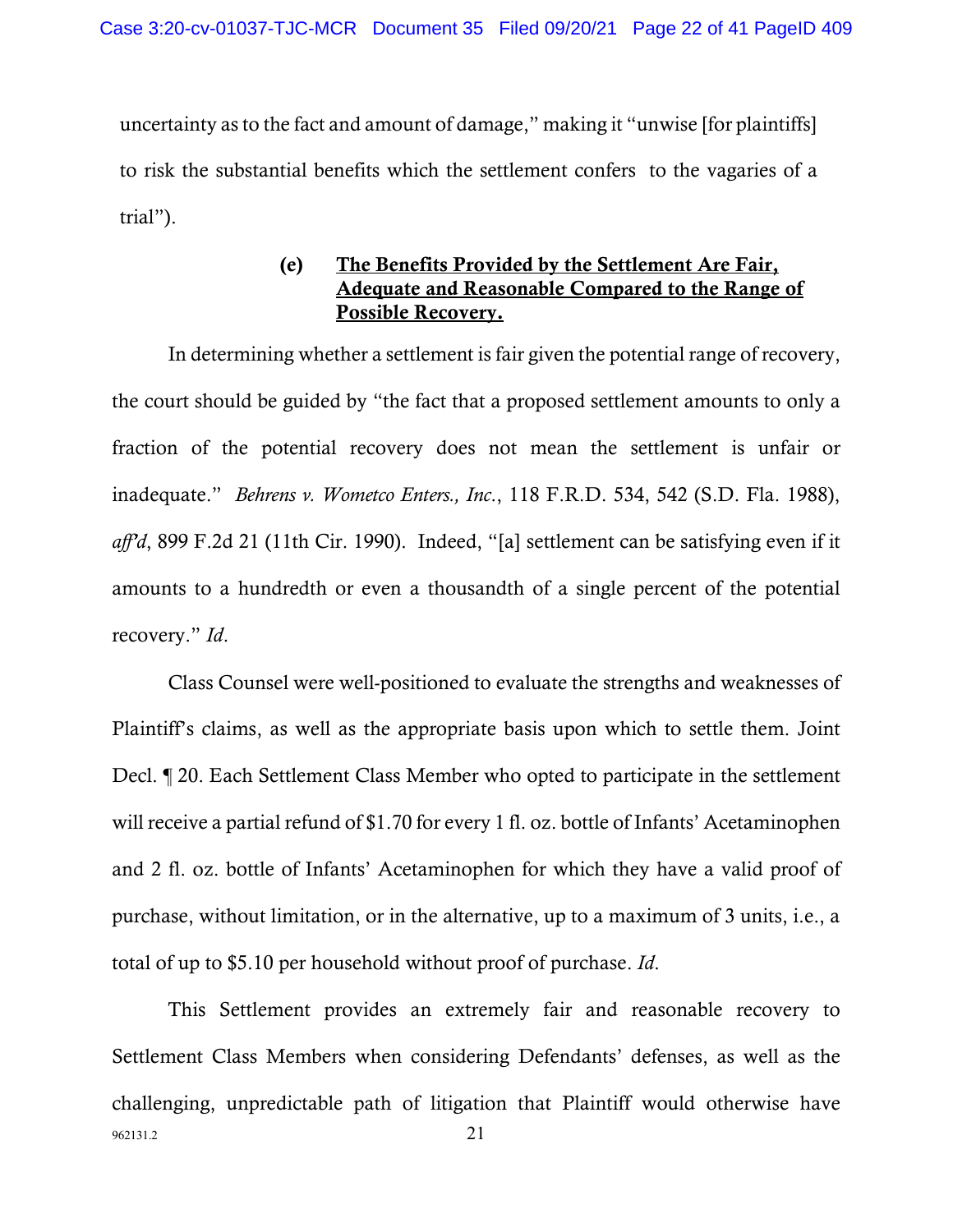uncertainty as to the fact and amount of damage," making it "unwise [for plaintiffs] to risk the substantial benefits which the settlement confers to the vagaries of a trial").

# (e) The Benefits Provided by the Settlement Are Fair, Adequate and Reasonable Compared to the Range of Possible Recovery.

In determining whether a settlement is fair given the potential range of recovery, the court should be guided by "the fact that a proposed settlement amounts to only a fraction of the potential recovery does not mean the settlement is unfair or inadequate." *Behrens v. Wometco Enters., Inc*., 118 F.R.D. 534, 542 (S.D. Fla. 1988), *aff'd*, 899 F.2d 21 (11th Cir. 1990). Indeed, "[a] settlement can be satisfying even if it amounts to a hundredth or even a thousandth of a single percent of the potential recovery." *Id*.

Class Counsel were well-positioned to evaluate the strengths and weaknesses of Plaintiff's claims, as well as the appropriate basis upon which to settle them. Joint Decl. ¶ 20. Each Settlement Class Member who opted to participate in the settlement will receive a partial refund of \$1.70 for every 1 fl. oz. bottle of Infants' Acetaminophen and 2 fl. oz. bottle of Infants' Acetaminophen for which they have a valid proof of purchase, without limitation, or in the alternative, up to a maximum of 3 units, i.e., a total of up to \$5.10 per household without proof of purchase. *Id*.

962131.2 21 This Settlement provides an extremely fair and reasonable recovery to Settlement Class Members when considering Defendants' defenses, as well as the challenging, unpredictable path of litigation that Plaintiff would otherwise have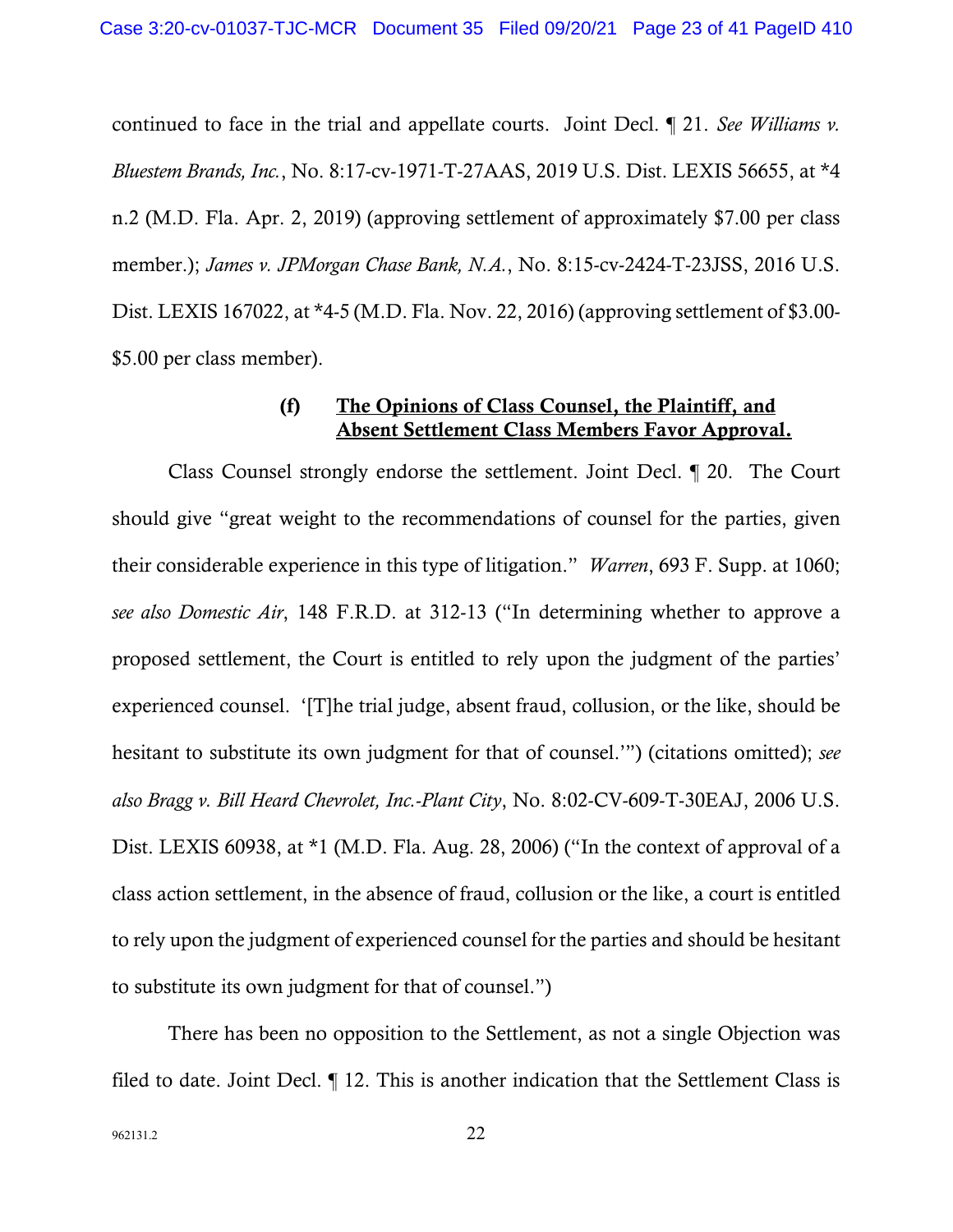continued to face in the trial and appellate courts. Joint Decl. ¶ 21. *See Williams v. Bluestem Brands, Inc.*, No. 8:17-cv-1971-T-27AAS, 2019 U.S. Dist. LEXIS 56655, at \*4 n.2 (M.D. Fla. Apr. 2, 2019) (approving settlement of approximately \$7.00 per class member.); *James v. JPMorgan Chase Bank, N.A.*, No. 8:15-cv-2424-T-23JSS, 2016 U.S. Dist. LEXIS 167022, at \*4-5 (M.D. Fla. Nov. 22, 2016) (approving settlement of \$3.00- \$5.00 per class member).

## (f) The Opinions of Class Counsel, the Plaintiff, and Absent Settlement Class Members Favor Approval.

Class Counsel strongly endorse the settlement. Joint Decl. ¶ 20. The Court should give "great weight to the recommendations of counsel for the parties, given their considerable experience in this type of litigation." *Warren*, 693 F. Supp. at 1060; *see also Domestic Air*, 148 F.R.D. at 312-13 ("In determining whether to approve a proposed settlement, the Court is entitled to rely upon the judgment of the parties' experienced counsel. '[T]he trial judge, absent fraud, collusion, or the like, should be hesitant to substitute its own judgment for that of counsel.'") (citations omitted); *see also Bragg v. Bill Heard Chevrolet, Inc.-Plant City*, No. 8:02-CV-609-T-30EAJ, 2006 U.S. Dist. LEXIS 60938, at \*1 (M.D. Fla. Aug. 28, 2006) ("In the context of approval of a class action settlement, in the absence of fraud, collusion or the like, a court is entitled to rely upon the judgment of experienced counsel for the parties and should be hesitant to substitute its own judgment for that of counsel.")

There has been no opposition to the Settlement, as not a single Objection was filed to date. Joint Decl. ¶ 12. This is another indication that the Settlement Class is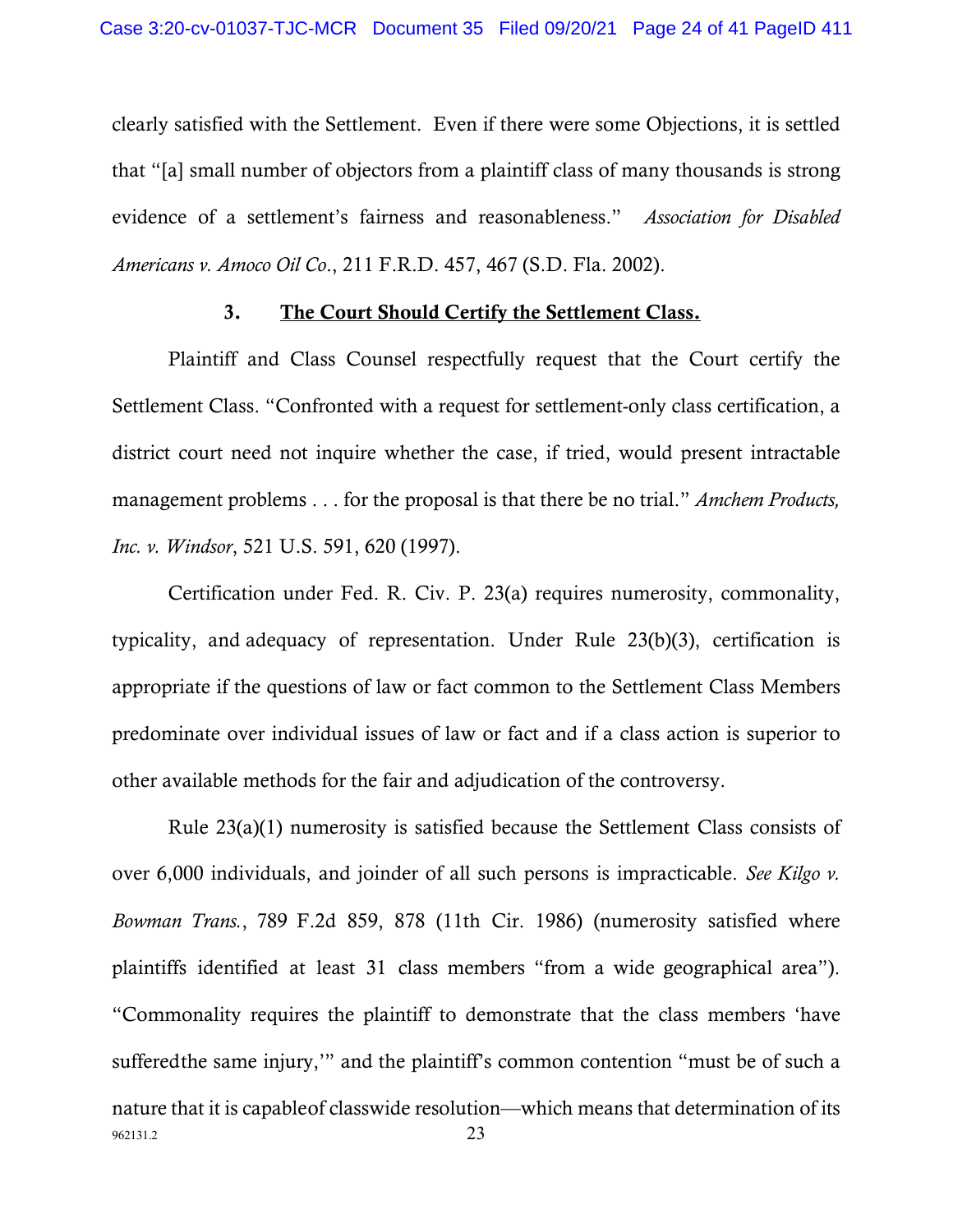clearly satisfied with the Settlement. Even if there were some Objections, it is settled that "[a] small number of objectors from a plaintiff class of many thousands is strong evidence of a settlement's fairness and reasonableness." *Association for Disabled Americans v. Amoco Oil Co*., 211 F.R.D. 457, 467 (S.D. Fla. 2002).

### 3. The Court Should Certify the Settlement Class.

Plaintiff and Class Counsel respectfully request that the Court certify the Settlement Class. "Confronted with a request for settlement-only class certification, a district court need not inquire whether the case, if tried, would present intractable management problems . . . for the proposal is that there be no trial." *Amchem Products, Inc. v. Windsor*, 521 U.S. 591, 620 (1997).

Certification under Fed. R. Civ. P. 23(a) requires numerosity, commonality, typicality, and adequacy of representation. Under Rule 23(b)(3), certification is appropriate if the questions of law or fact common to the Settlement Class Members predominate over individual issues of law or fact and if a class action is superior to other available methods for the fair and adjudication of the controversy.

962131.2 23 Rule 23(a)(1) numerosity is satisfied because the Settlement Class consists of over 6,000 individuals, and joinder of all such persons is impracticable. *See Kilgo v. Bowman Trans.*, 789 F.2d 859, 878 (11th Cir. 1986) (numerosity satisfied where plaintiffs identified at least 31 class members "from a wide geographical area"). "Commonality requires the plaintiff to demonstrate that the class members 'have sufferedthe same injury,'" and the plaintiff's common contention "must be of such a nature that it is capableof classwide resolution—which means that determination of its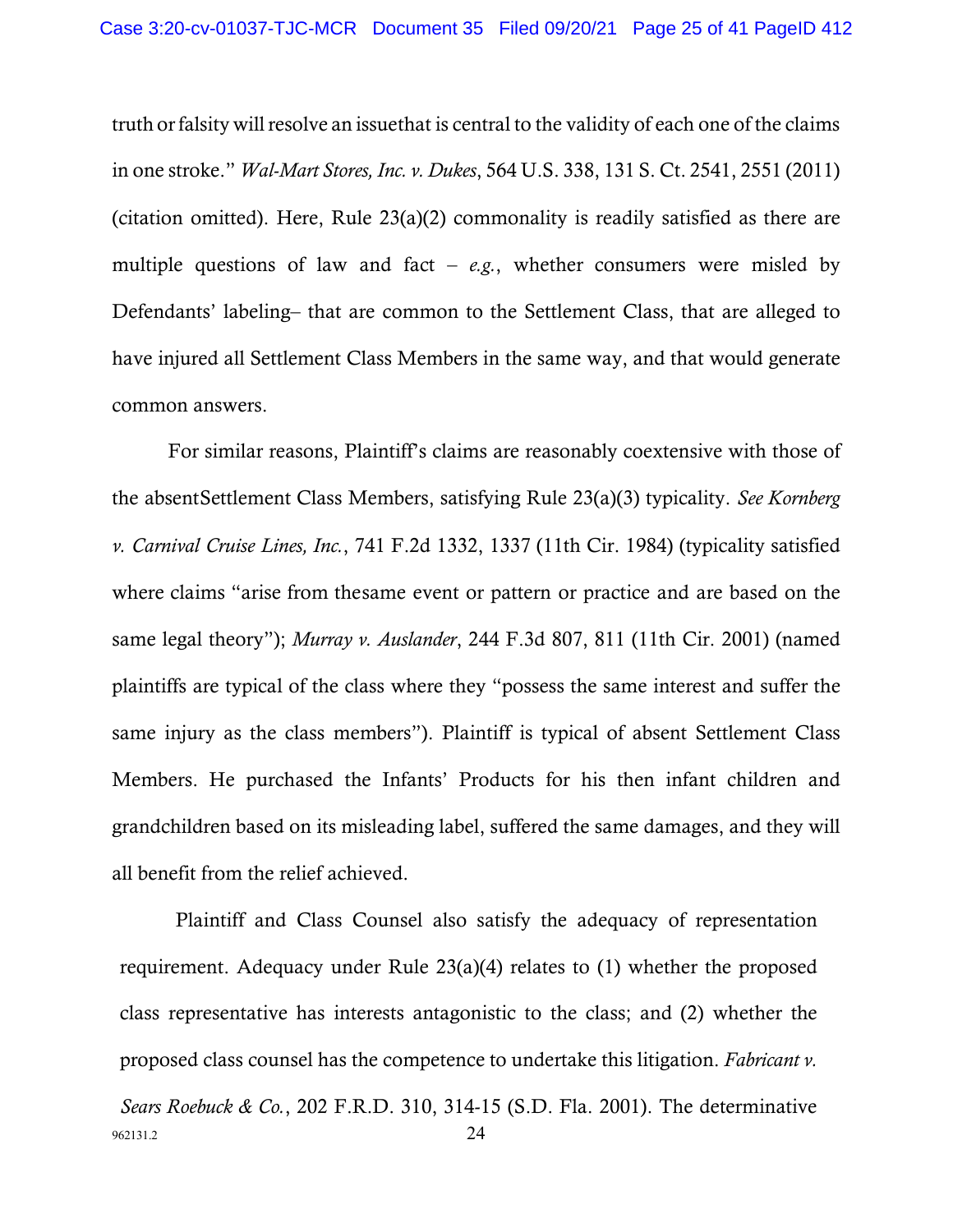truth or falsity will resolve an issuethat is central to the validity of each one of the claims in one stroke." *Wal-Mart Stores, Inc. v. Dukes*, 564 U.S. 338, 131 S. Ct. 2541, 2551 (2011) (citation omitted). Here, Rule 23(a)(2) commonality is readily satisfied as there are multiple questions of law and fact  $-e.g.,$  whether consumers were misled by Defendants' labeling– that are common to the Settlement Class, that are alleged to have injured all Settlement Class Members in the same way, and that would generate common answers.

For similar reasons, Plaintiff's claims are reasonably coextensive with those of the absentSettlement Class Members, satisfying Rule 23(a)(3) typicality. *See Kornberg v. Carnival Cruise Lines, Inc.*, 741 F.2d 1332, 1337 (11th Cir. 1984) (typicality satisfied where claims "arise from thesame event or pattern or practice and are based on the same legal theory"); *Murray v. Auslander*, 244 F.3d 807, 811 (11th Cir. 2001) (named plaintiffs are typical of the class where they "possess the same interest and suffer the same injury as the class members"). Plaintiff is typical of absent Settlement Class Members. He purchased the Infants' Products for his then infant children and grandchildren based on its misleading label, suffered the same damages, and they will all benefit from the relief achieved.

962131.2 24 Plaintiff and Class Counsel also satisfy the adequacy of representation requirement. Adequacy under Rule 23(a)(4) relates to (1) whether the proposed class representative has interests antagonistic to the class; and (2) whether the proposed class counsel has the competence to undertake this litigation. *Fabricant v. Sears Roebuck & Co.*, 202 F.R.D. 310, 314-15 (S.D. Fla. 2001). The determinative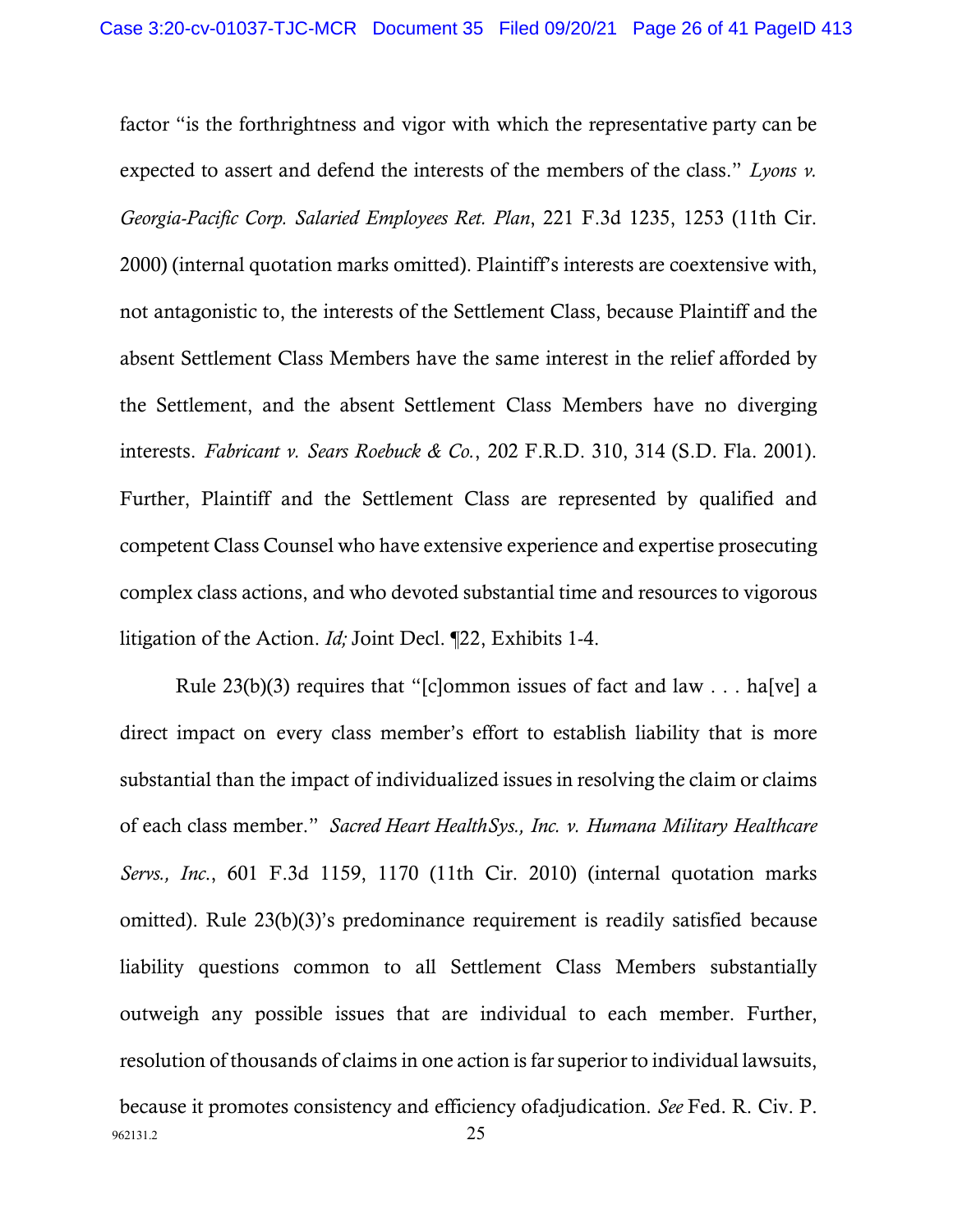factor "is the forthrightness and vigor with which the representative party can be expected to assert and defend the interests of the members of the class." *Lyons v. Georgia-Pacific Corp. Salaried Employees Ret. Plan*, 221 F.3d 1235, 1253 (11th Cir. 2000) (internal quotation marks omitted). Plaintiff's interests are coextensive with, not antagonistic to, the interests of the Settlement Class, because Plaintiff and the absent Settlement Class Members have the same interest in the relief afforded by the Settlement, and the absent Settlement Class Members have no diverging interests. *Fabricant v. Sears Roebuck & Co.*, 202 F.R.D. 310, 314 (S.D. Fla. 2001). Further, Plaintiff and the Settlement Class are represented by qualified and competent Class Counsel who have extensive experience and expertise prosecuting complex class actions, and who devoted substantial time and resources to vigorous litigation of the Action. *Id;* Joint Decl. ¶22, Exhibits 1-4.

962131.2 25 Rule 23(b)(3) requires that "[c]ommon issues of fact and law  $\dots$  ha[ve] a direct impact on every class member's effort to establish liability that is more substantial than the impact of individualized issues in resolving the claim or claims of each class member." *Sacred Heart HealthSys., Inc. v. Humana Military Healthcare Servs., Inc*., 601 F.3d 1159, 1170 (11th Cir. 2010) (internal quotation marks omitted). Rule 23(b)(3)'s predominance requirement is readily satisfied because liability questions common to all Settlement Class Members substantially outweigh any possible issues that are individual to each member. Further, resolution of thousands of claims in one action isfarsuperior to individual lawsuits, because it promotes consistency and efficiency ofadjudication. *See* Fed. R. Civ. P.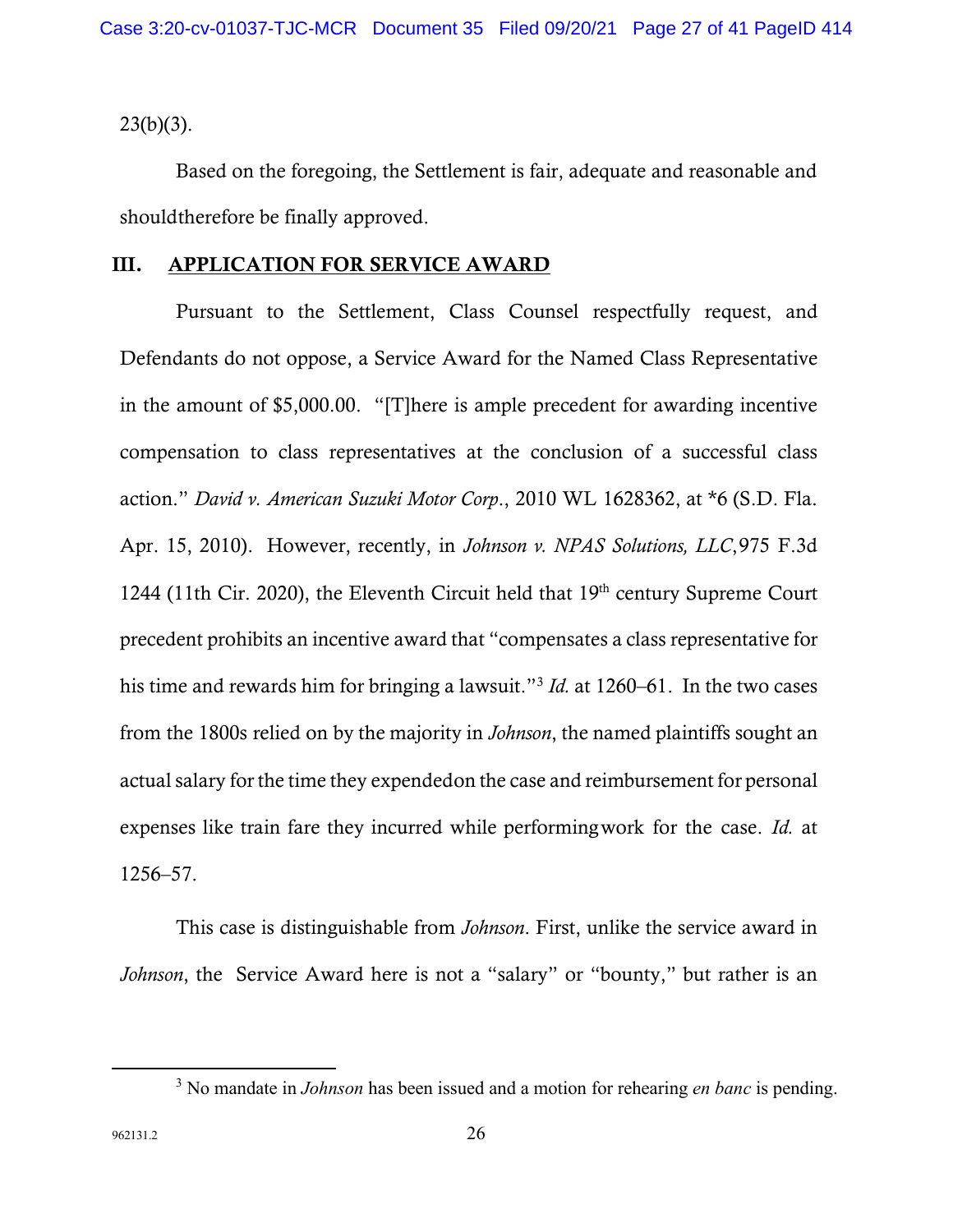$23(b)(3)$ .

Based on the foregoing, the Settlement is fair, adequate and reasonable and shouldtherefore be finally approved.

### III. APPLICATION FOR SERVICE AWARD

Pursuant to the Settlement, Class Counsel respectfully request, and Defendants do not oppose, a Service Award for the Named Class Representative in the amount of \$5,000.00. "[T]here is ample precedent for awarding incentive compensation to class representatives at the conclusion of a successful class action." *David v. American Suzuki Motor Corp*., 2010 WL 1628362, at \*6 (S.D. Fla. Apr. 15, 2010). However, recently, in *Johnson v. NPAS Solutions, LLC*,975 F.3d 1244 (11th Cir. 2020), the Eleventh Circuit held that 19<sup>th</sup> century Supreme Court precedent prohibits an incentive award that "compensates a class representative for his time and rewards him for bringing a lawsuit."[3](#page-26-0) *Id.* at 1260–61. In the two cases from the 1800s relied on by the majority in *Johnson*, the named plaintiffs sought an actual salary for the time they expendedon the case and reimbursement for personal expenses like train fare they incurred while performingwork for the case. *Id.* at 1256–57.

This case is distinguishable from *Johnson*. First, unlike the service award in *Johnson*, the Service Award here is not a "salary" or "bounty," but rather is an

<span id="page-26-0"></span><sup>3</sup> No mandate in *Johnson* has been issued and a motion for rehearing *en banc* is pending.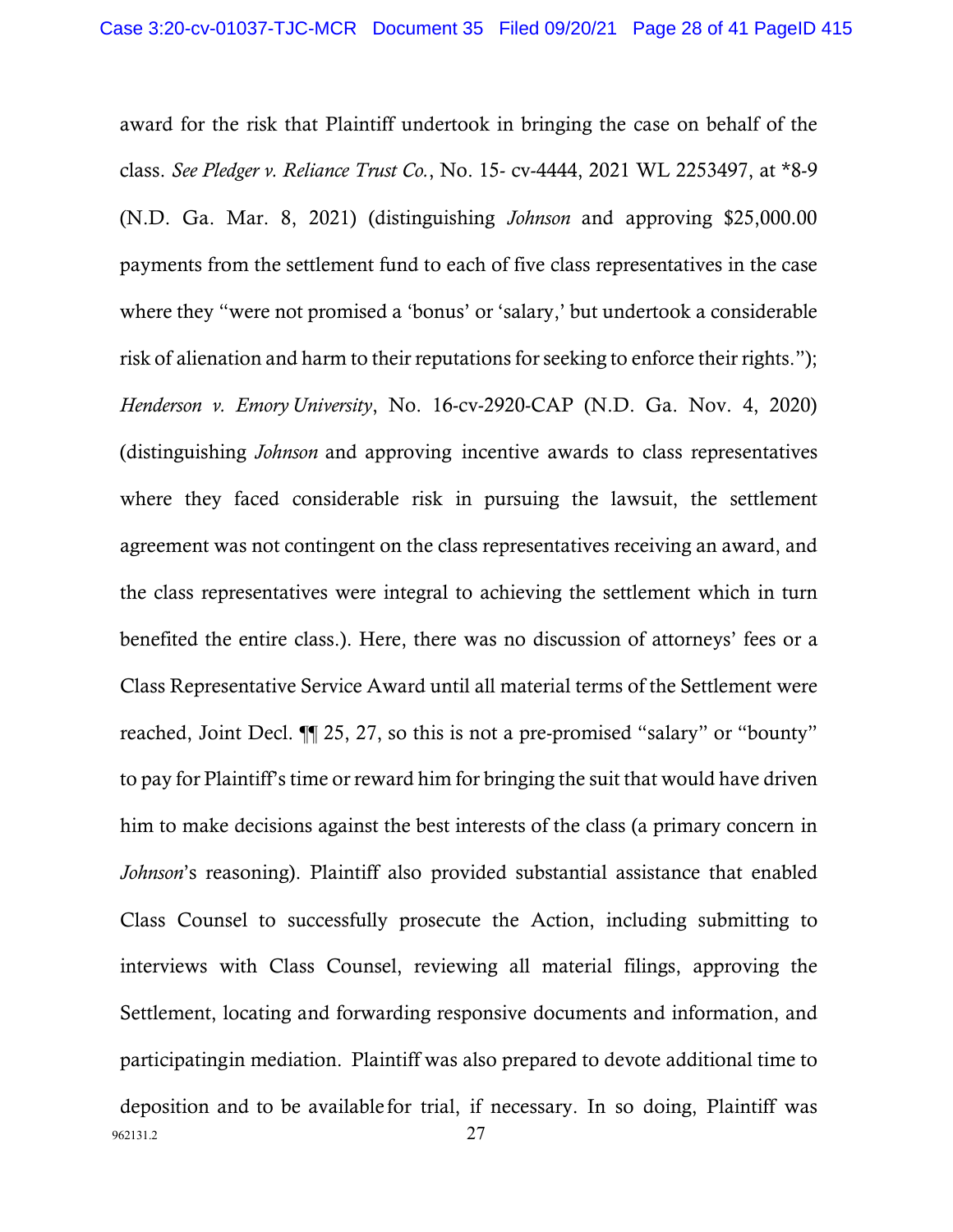962131.2 27 award for the risk that Plaintiff undertook in bringing the case on behalf of the class. *See Pledger v. Reliance Trust Co.*, No. 15- cv-4444, 2021 WL 2253497, at \*8-9 (N.D. Ga. Mar. 8, 2021) (distinguishing *Johnson* and approving \$25,000.00 payments from the settlement fund to each of five class representatives in the case where they "were not promised a 'bonus' or 'salary,' but undertook a considerable risk of alienation and harm to their reputations for seeking to enforce their rights."); *Henderson v. Emory University*, No. 16-cv-2920-CAP (N.D. Ga. Nov. 4, 2020) (distinguishing *Johnson* and approving incentive awards to class representatives where they faced considerable risk in pursuing the lawsuit, the settlement agreement was not contingent on the class representatives receiving an award, and the class representatives were integral to achieving the settlement which in turn benefited the entire class.). Here, there was no discussion of attorneys' fees or a Class Representative Service Award until all material terms of the Settlement were reached, Joint Decl. ¶¶ 25, 27, so this is not a pre-promised "salary" or "bounty" to pay for Plaintiff's time or reward him for bringing the suit that would have driven him to make decisions against the best interests of the class (a primary concern in *Johnson*'s reasoning). Plaintiff also provided substantial assistance that enabled Class Counsel to successfully prosecute the Action, including submitting to interviews with Class Counsel, reviewing all material filings, approving the Settlement, locating and forwarding responsive documents and information, and participatingin mediation. Plaintiff was also prepared to devote additional time to deposition and to be available for trial, if necessary. In so doing, Plaintiff was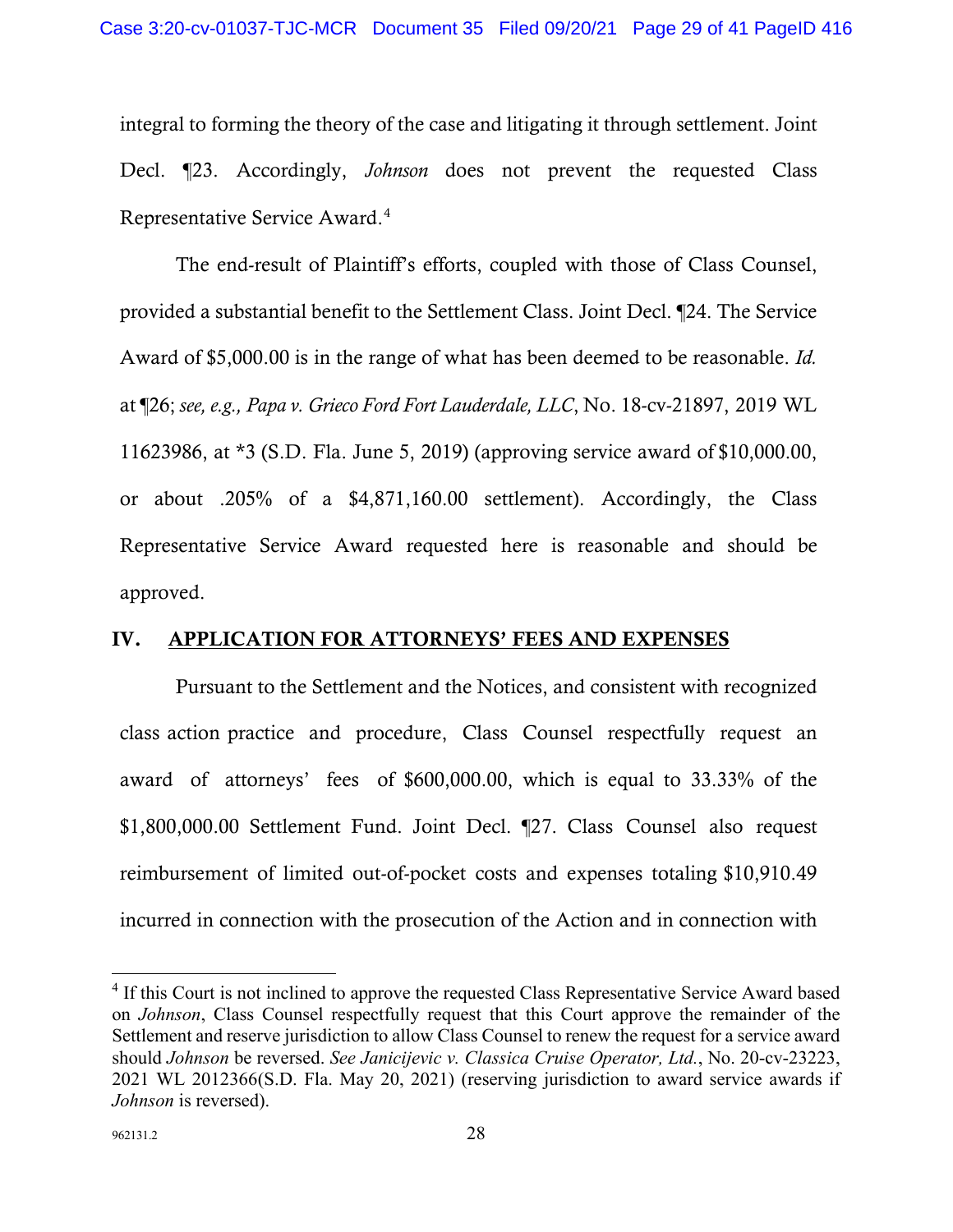integral to forming the theory of the case and litigating it through settlement. Joint Decl. ¶23. Accordingly, *Johnson* does not prevent the requested Class Representative Service Award.[4](#page-28-0)

The end-result of Plaintiff's efforts, coupled with those of Class Counsel, provided a substantial benefit to the Settlement Class. Joint Decl. ¶24. The Service Award of \$5,000.00 is in the range of what has been deemed to be reasonable. *Id.*  at ¶26; *see, e.g., Papa v. Grieco Ford Fort Lauderdale, LLC*, No. 18-cv-21897, 2019 WL 11623986, at \*3 (S.D. Fla. June 5, 2019) (approving service award of \$10,000.00, or about .205% of a \$4,871,160.00 settlement). Accordingly, the Class Representative Service Award requested here is reasonable and should be approved.

### IV. APPLICATION FOR ATTORNEYS' FEES AND EXPENSES

Pursuant to the Settlement and the Notices, and consistent with recognized class action practice and procedure, Class Counsel respectfully request an award of attorneys' fees of \$600,000.00, which is equal to 33.33% of the \$1,800,000.00 Settlement Fund. Joint Decl. ¶27. Class Counsel also request reimbursement of limited out-of-pocket costs and expenses totaling \$10,910.49 incurred in connection with the prosecution of the Action and in connection with

<span id="page-28-0"></span><sup>&</sup>lt;sup>4</sup> If this Court is not inclined to approve the requested Class Representative Service Award based on *Johnson*, Class Counsel respectfully request that this Court approve the remainder of the Settlement and reserve jurisdiction to allow Class Counsel to renew the request for a service award should *Johnson* be reversed. *See Janicijevic v. Classica Cruise Operator, Ltd.*, No. 20-cv-23223, 2021 WL 2012366(S.D. Fla. May 20, 2021) (reserving jurisdiction to award service awards if *Johnson* is reversed).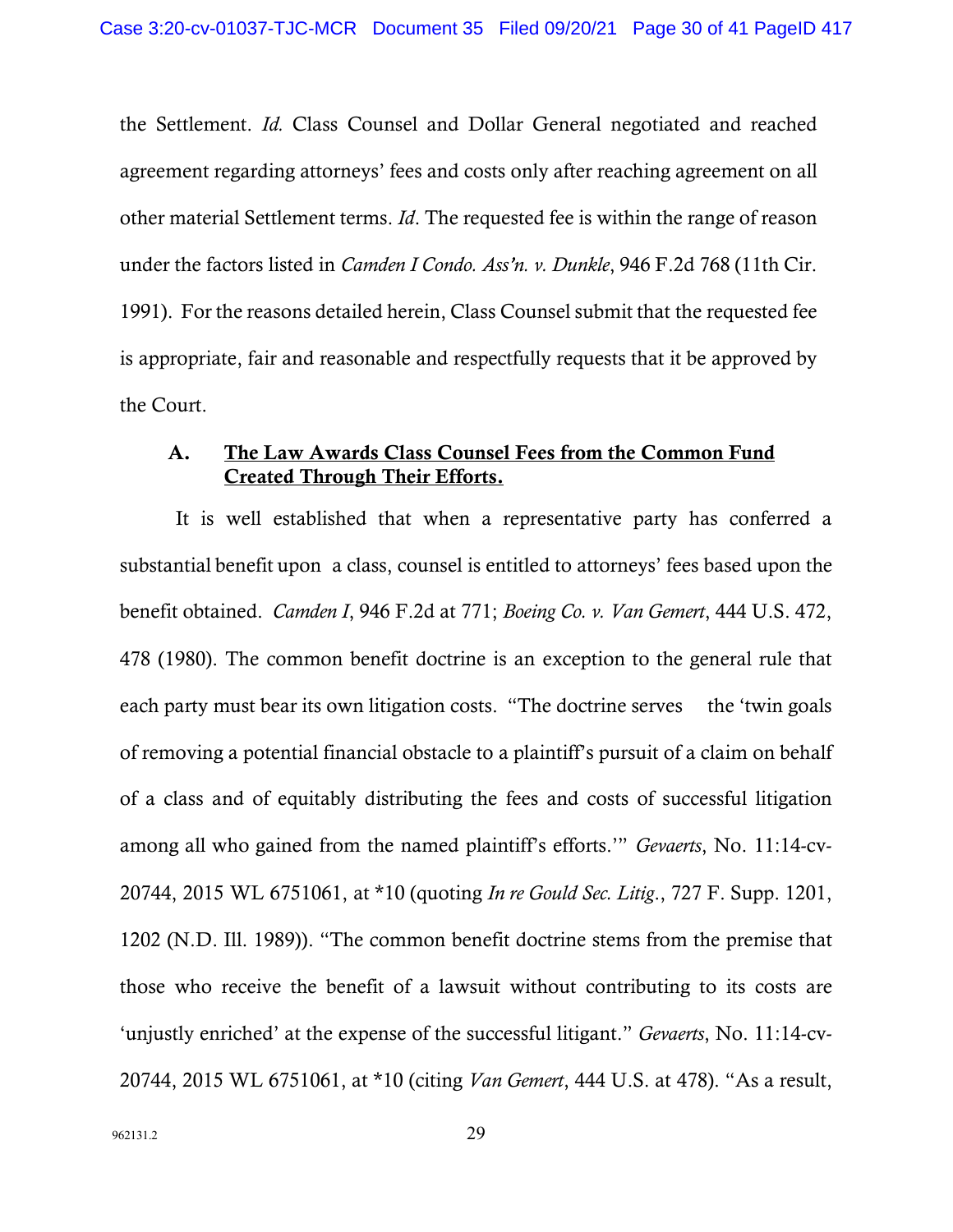the Settlement. *Id.* Class Counsel and Dollar General negotiated and reached agreement regarding attorneys' fees and costs only after reaching agreement on all other material Settlement terms. *Id*. The requested fee is within the range of reason under the factors listed in *Camden I Condo. Ass'n. v. Dunkle*, 946 F.2d 768 (11th Cir. 1991). For the reasons detailed herein, Class Counsel submit that the requested fee is appropriate, fair and reasonable and respectfully requests that it be approved by the Court.

# A. The Law Awards Class Counsel Fees from the Common Fund Created Through Their Efforts.

It is well established that when a representative party has conferred a substantial benefit upon a class, counsel is entitled to attorneys' fees based upon the benefit obtained. *Camden I*, 946 F.2d at 771; *Boeing Co. v. Van Gemert*, 444 U.S. 472, 478 (1980). The common benefit doctrine is an exception to the general rule that each party must bear its own litigation costs. "The doctrine serves the 'twin goals' of removing a potential financial obstacle to a plaintiff's pursuit of a claim on behalf of a class and of equitably distributing the fees and costs of successful litigation among all who gained from the named plaintiff's efforts.'" *Gevaerts*, No. 11:14-cv-20744, 2015 WL 6751061, at \*10 (quoting *In re Gould Sec. Litig*., 727 F. Supp. 1201, 1202 (N.D. Ill. 1989)). "The common benefit doctrine stems from the premise that those who receive the benefit of a lawsuit without contributing to its costs are 'unjustly enriched' at the expense of the successful litigant." *Gevaerts*, No. 11:14-cv-20744, 2015 WL 6751061, at \*10 (citing *Van Gemert*, 444 U.S. at 478). "As a result,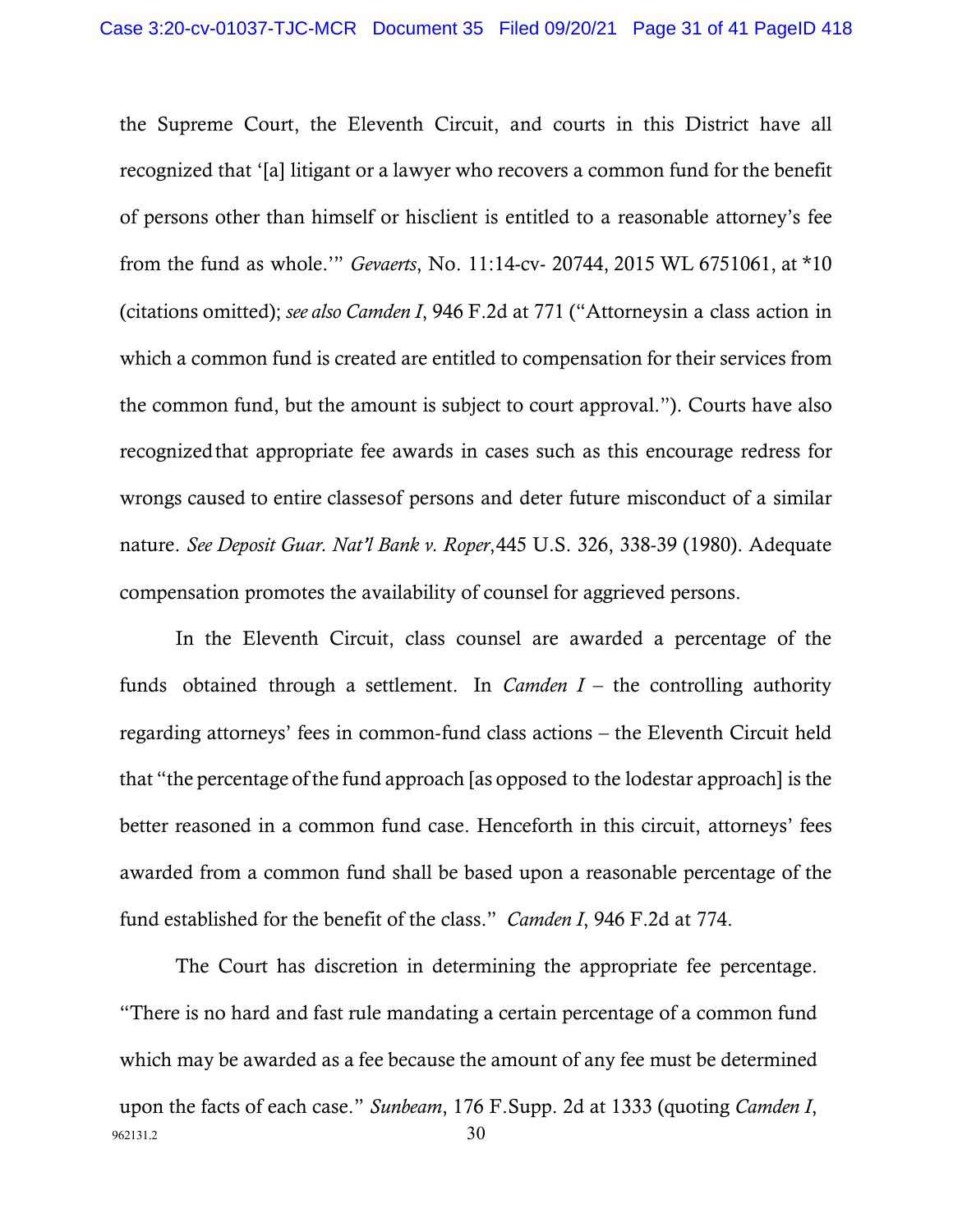the Supreme Court, the Eleventh Circuit, and courts in this District have all recognized that '[a] litigant or a lawyer who recovers a common fund for the benefit of persons other than himself or hisclient is entitled to a reasonable attorney's fee from the fund as whole.'" *Gevaerts*, No. 11:14-cv- 20744, 2015 WL 6751061, at \*10 (citations omitted); *see also Camden I*, 946 F.2d at 771 ("Attorneysin a class action in which a common fund is created are entitled to compensation for their services from the common fund, but the amount is subject to court approval."). Courts have also recognizedthat appropriate fee awards in cases such as this encourage redress for wrongs caused to entire classesof persons and deter future misconduct of a similar nature. *See Deposit Guar. Nat'l Bank v. Roper*,445 U.S. 326, 338-39 (1980). Adequate compensation promotes the availability of counsel for aggrieved persons.

In the Eleventh Circuit, class counsel are awarded a percentage of the funds obtained through a settlement. In *Camden I* – the controlling authority regarding attorneys' fees in common-fund class actions – the Eleventh Circuit held that "the percentage of the fund approach [as opposed to the lodestar approach] is the better reasoned in a common fund case. Henceforth in this circuit, attorneys' fees awarded from a common fund shall be based upon a reasonable percentage of the fund established for the benefit of the class." *Camden I*, 946 F.2d at 774.

 $962131.2$  30 The Court has discretion in determining the appropriate fee percentage. "There is no hard and fast rule mandating a certain percentage of a common fund which may be awarded as a fee because the amount of any fee must be determined upon the facts of each case." *Sunbeam*, 176 F.Supp. 2d at 1333 (quoting *Camden I*,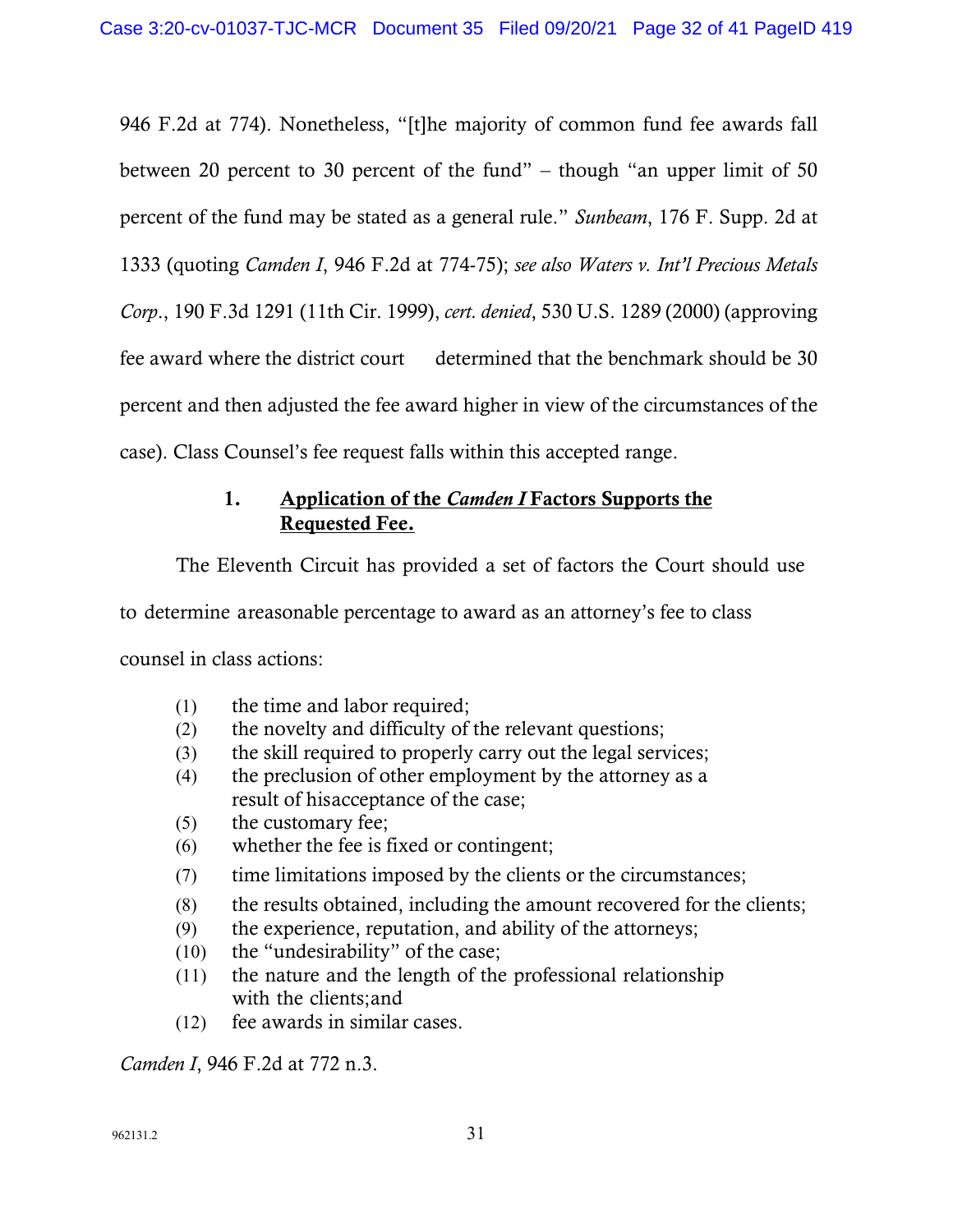946 F.2d at 774). Nonetheless, "[t]he majority of common fund fee awards fall between 20 percent to 30 percent of the fund" – though "an upper limit of 50 percent of the fund may be stated as a general rule." *Sunbeam*, 176 F. Supp. 2d at 1333 (quoting *Camden I*, 946 F.2d at 774-75); *see also Waters v. Int'l Precious Metals Corp*., 190 F.3d 1291 (11th Cir. 1999), *cert. denied*, 530 U.S. 1289 (2000) (approving fee award where the district court determined that the benchmark should be 30 percent and then adjusted the fee award higher in view of the circumstances of the case). Class Counsel's fee request falls within this accepted range.

# 1. Application of the *Camden I* Factors Supports the Requested Fee.

The Eleventh Circuit has provided a set of factors the Court should use

to determine areasonable percentage to award as an attorney's fee to class

counsel in class actions:

- (1) the time and labor required;
- (2) the novelty and difficulty of the relevant questions;
- (3) the skill required to properly carry out the legal services;
- (4) the preclusion of other employment by the attorney as a result of hisacceptance of the case;
- (5) the customary fee;
- (6) whether the fee is fixed or contingent;
- (7) time limitations imposed by the clients or the circumstances;
- (8) the results obtained, including the amount recovered for the clients;
- (9) the experience, reputation, and ability of the attorneys;
- (10) the "undesirability" of the case;
- (11) the nature and the length of the professional relationship with the clients;and
- (12) fee awards in similar cases.

*Camden I*, 946 F.2d at 772 n.3.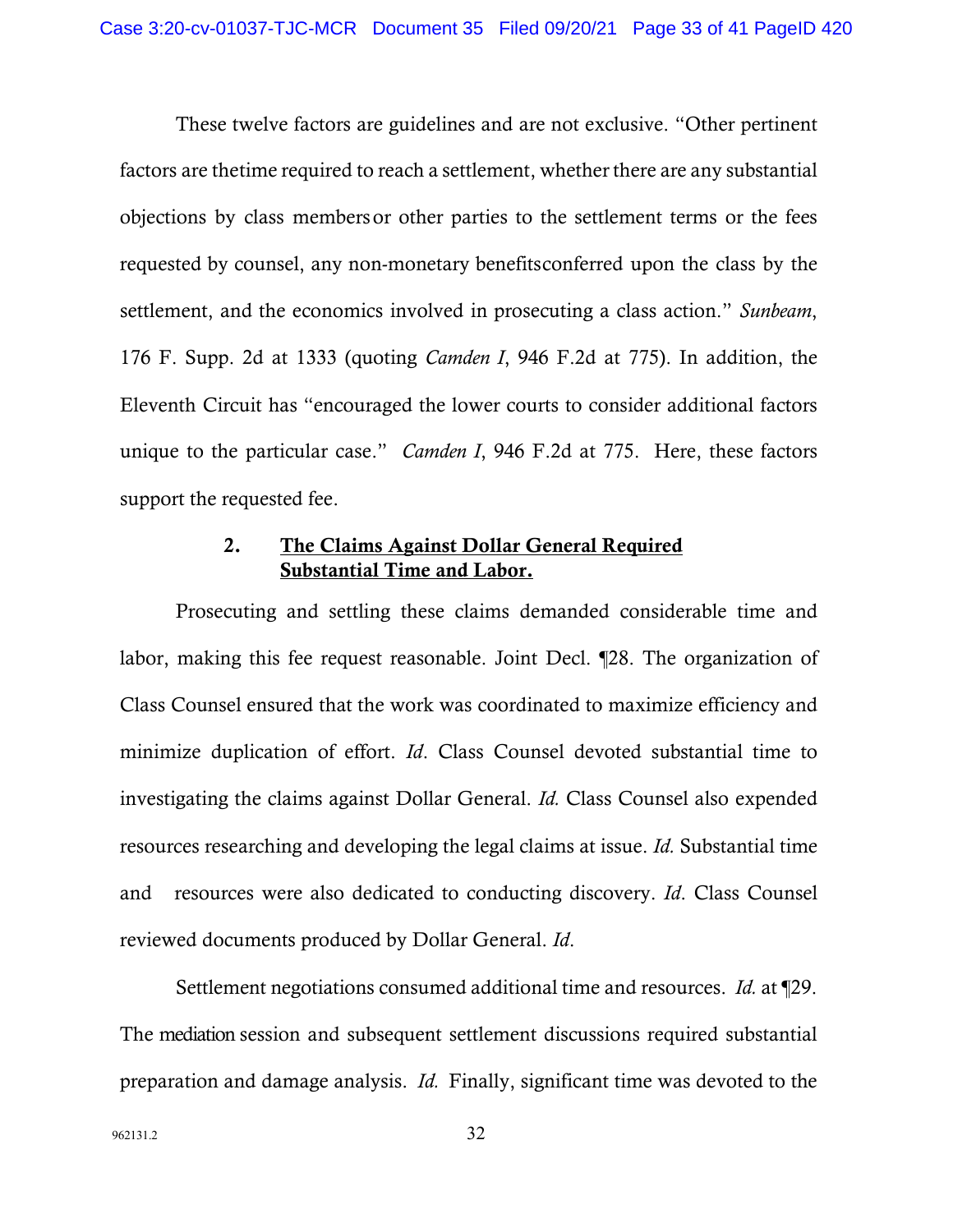These twelve factors are guidelines and are not exclusive. "Other pertinent factors are thetime required to reach a settlement, whether there are any substantial objections by class membersor other parties to the settlement terms or the fees requested by counsel, any non-monetary benefitsconferred upon the class by the settlement, and the economics involved in prosecuting a class action." *Sunbeam*, 176 F. Supp. 2d at 1333 (quoting *Camden I*, 946 F.2d at 775). In addition, the Eleventh Circuit has "encouraged the lower courts to consider additional factors unique to the particular case." *Camden I*, 946 F.2d at 775. Here, these factors support the requested fee.

# 2. The Claims Against Dollar General Required Substantial Time and Labor.

Prosecuting and settling these claims demanded considerable time and labor, making this fee request reasonable. Joint Decl. ¶28. The organization of Class Counsel ensured that the work was coordinated to maximize efficiency and minimize duplication of effort. *Id*. Class Counsel devoted substantial time to investigating the claims against Dollar General. *Id.* Class Counsel also expended resources researching and developing the legal claims at issue. *Id.* Substantial time and resources were also dedicated to conducting discovery. *Id*. Class Counsel reviewed documents produced by Dollar General. *Id*.

Settlement negotiations consumed additional time and resources. *Id.* at ¶29. The mediation session and subsequent settlement discussions required substantial preparation and damage analysis. *Id.* Finally, significant time was devoted to the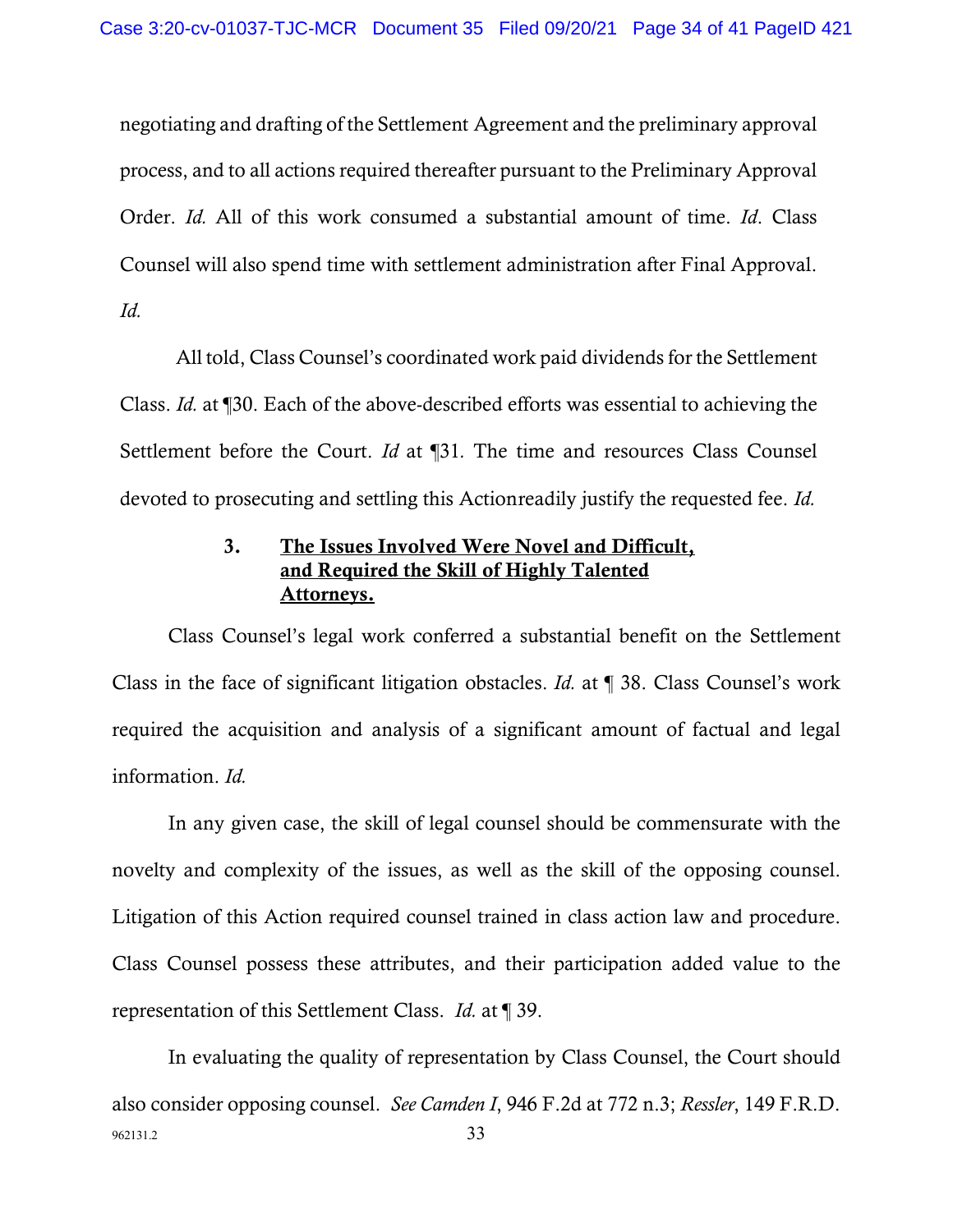negotiating and drafting of the Settlement Agreement and the preliminary approval process, and to all actions required thereafter pursuant to the Preliminary Approval Order. *Id.* All of this work consumed a substantial amount of time. *Id*. Class Counsel will also spend time with settlement administration after Final Approval. *Id.*

All told, Class Counsel's coordinated work paid dividends for the Settlement Class. *Id.* at ¶30. Each of the above-described efforts was essential to achieving the Settlement before the Court. *Id* at ¶31*.* The time and resources Class Counsel devoted to prosecuting and settling this Actionreadily justify the requested fee. *Id.*

# 3. The Issues Involved Were Novel and Difficult, and Required the Skill of Highly Talented Attorneys.

Class Counsel's legal work conferred a substantial benefit on the Settlement Class in the face of significant litigation obstacles. *Id.* at ¶ 38. Class Counsel's work required the acquisition and analysis of a significant amount of factual and legal information. *Id.*

In any given case, the skill of legal counsel should be commensurate with the novelty and complexity of the issues, as well as the skill of the opposing counsel. Litigation of this Action required counsel trained in class action law and procedure. Class Counsel possess these attributes, and their participation added value to the representation of this Settlement Class. *Id.* at ¶ 39.

962131.2 33 In evaluating the quality of representation by Class Counsel, the Court should also consider opposing counsel. *See Camden I*, 946 F.2d at 772 n.3; *Ressler*, 149 F.R.D.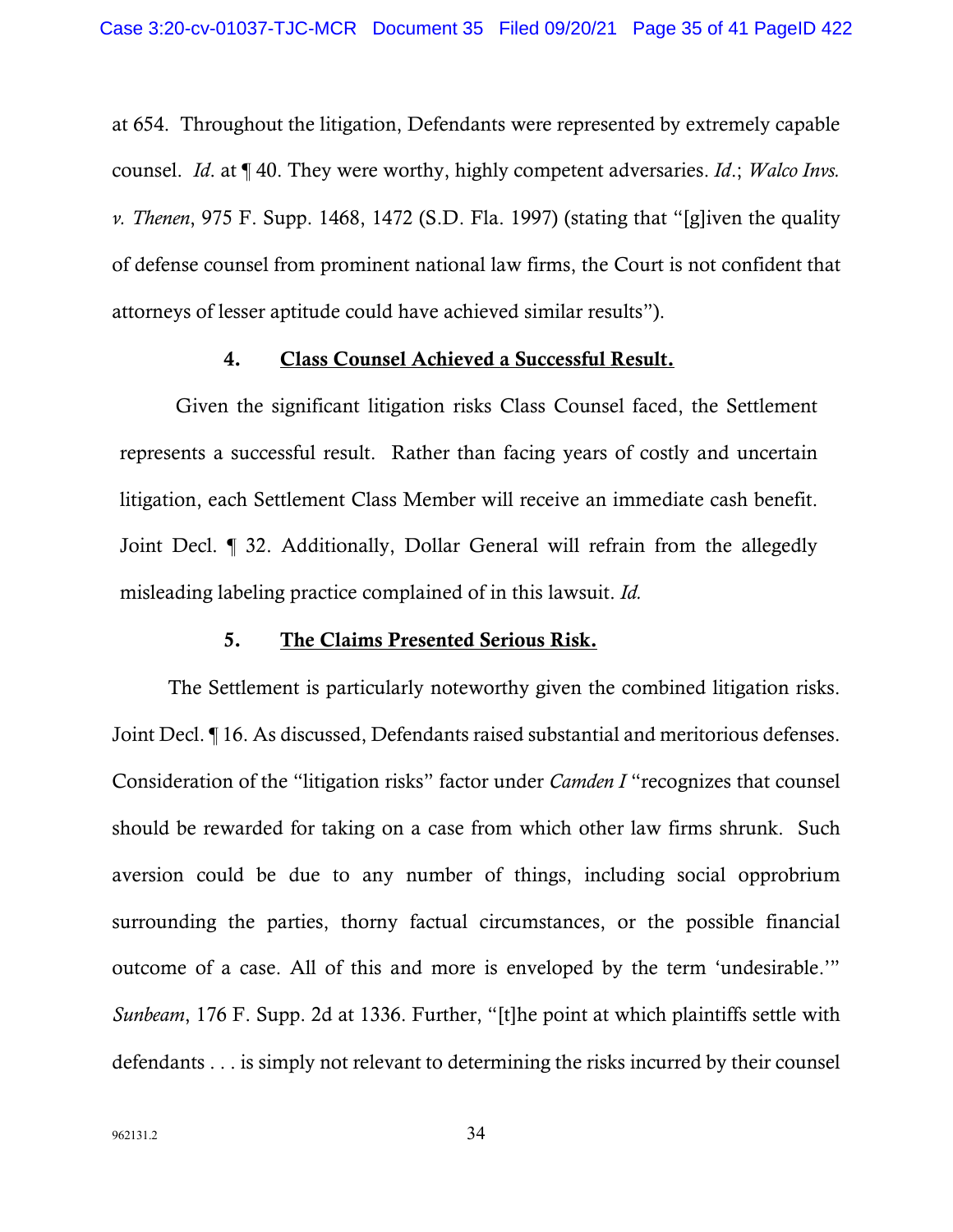at 654. Throughout the litigation, Defendants were represented by extremely capable counsel. *Id*. at ¶ 40. They were worthy, highly competent adversaries. *Id*.; *Walco Invs. v. Thenen*, 975 F. Supp. 1468, 1472 (S.D. Fla. 1997) (stating that "[g]iven the quality of defense counsel from prominent national law firms, the Court is not confident that attorneys of lesser aptitude could have achieved similar results").

#### 4. Class Counsel Achieved a Successful Result.

Given the significant litigation risks Class Counsel faced, the Settlement represents a successful result. Rather than facing years of costly and uncertain litigation, each Settlement Class Member will receive an immediate cash benefit. Joint Decl. ¶ 32. Additionally, Dollar General will refrain from the allegedly misleading labeling practice complained of in this lawsuit. *Id.* 

#### 5. The Claims Presented Serious Risk.

The Settlement is particularly noteworthy given the combined litigation risks. Joint Decl. ¶ 16. As discussed, Defendants raised substantial and meritorious defenses. Consideration of the "litigation risks" factor under *Camden I* "recognizes that counsel should be rewarded for taking on a case from which other law firms shrunk. Such aversion could be due to any number of things, including social opprobrium surrounding the parties, thorny factual circumstances, or the possible financial outcome of a case. All of this and more is enveloped by the term 'undesirable.'" *Sunbeam*, 176 F. Supp. 2d at 1336. Further, "[t]he point at which plaintiffs settle with defendants . . . is simply not relevant to determining the risks incurred by their counsel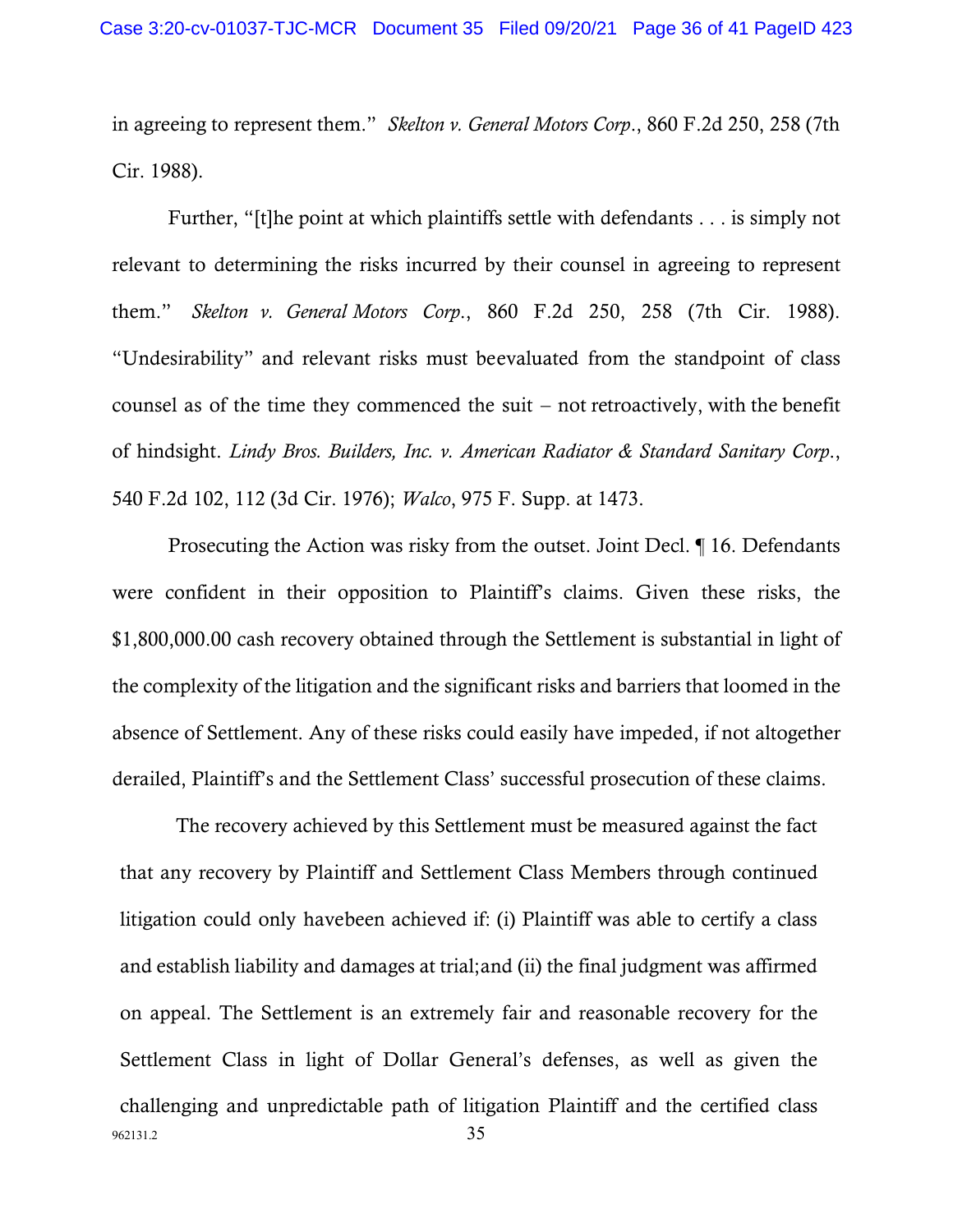in agreeing to represent them." *Skelton v. General Motors Corp*., 860 F.2d 250, 258 (7th Cir. 1988).

Further, "[t]he point at which plaintiffs settle with defendants . . . is simply not relevant to determining the risks incurred by their counsel in agreeing to represent them." *Skelton v. General Motors Corp*., 860 F.2d 250, 258 (7th Cir. 1988). "Undesirability" and relevant risks must beevaluated from the standpoint of class counsel as of the time they commenced the suit – not retroactively, with the benefit of hindsight. *Lindy Bros. Builders, Inc. v. American Radiator & Standard Sanitary Corp*., 540 F.2d 102, 112 (3d Cir. 1976); *Walco*, 975 F. Supp. at 1473.

Prosecuting the Action was risky from the outset. Joint Decl. ¶ 16. Defendants were confident in their opposition to Plaintiff's claims. Given these risks, the \$1,800,000.00 cash recovery obtained through the Settlement is substantial in light of the complexity of the litigation and the significant risks and barriers that loomed in the absence of Settlement. Any of these risks could easily have impeded, if not altogether derailed, Plaintiff's and the Settlement Class' successful prosecution of these claims.

962131.2 35 The recovery achieved by this Settlement must be measured against the fact that any recovery by Plaintiff and Settlement Class Members through continued litigation could only havebeen achieved if: (i) Plaintiff was able to certify a class and establish liability and damages at trial;and (ii) the final judgment was affirmed on appeal. The Settlement is an extremely fair and reasonable recovery for the Settlement Class in light of Dollar General's defenses, as well as given the challenging and unpredictable path of litigation Plaintiff and the certified class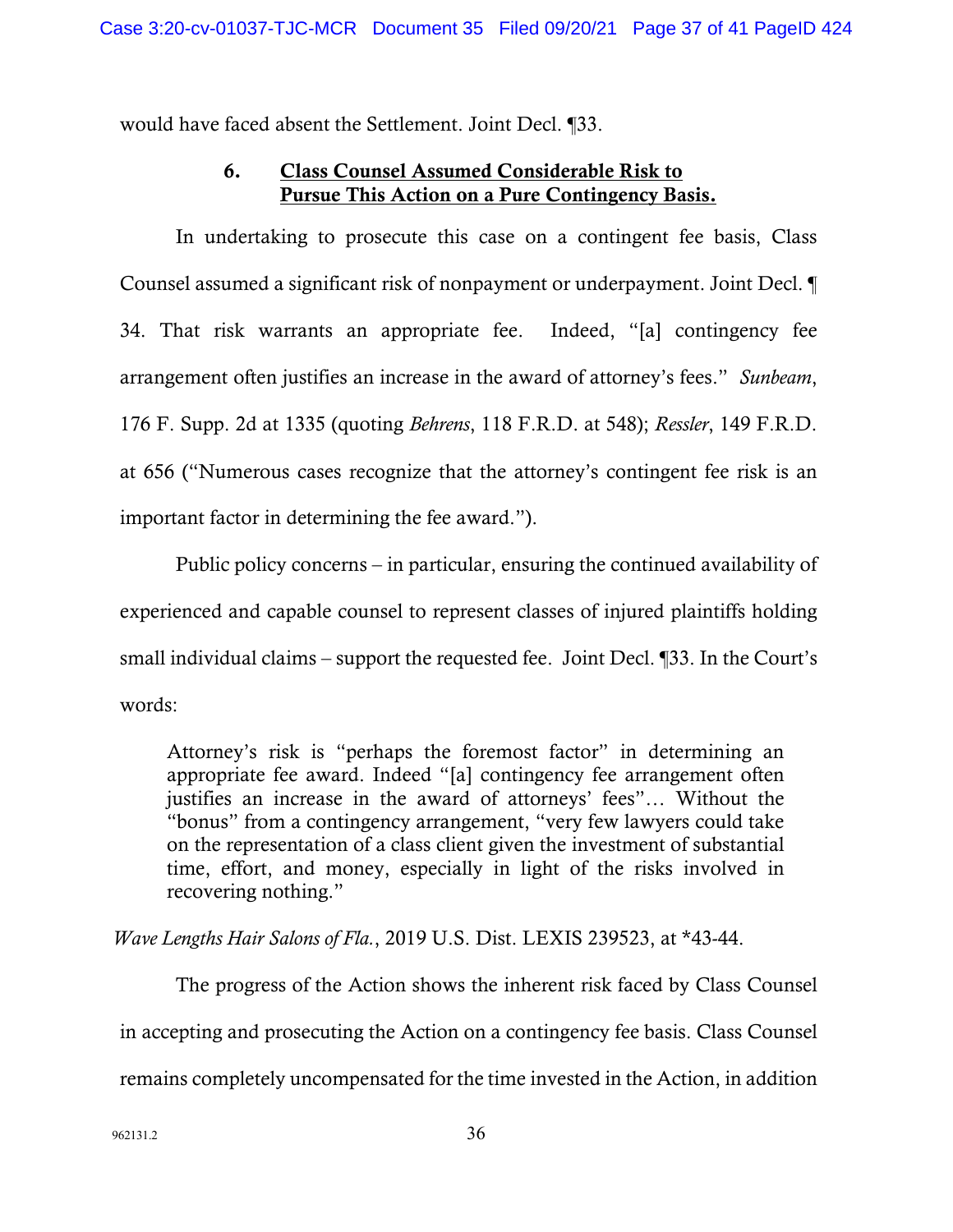would have faced absent the Settlement. Joint Decl. ¶33.

# 6. Class Counsel Assumed Considerable Risk to Pursue This Action on a Pure Contingency Basis.

In undertaking to prosecute this case on a contingent fee basis, Class Counsel assumed a significant risk of nonpayment or underpayment. Joint Decl. ¶ 34. That risk warrants an appropriate fee. Indeed, "[a] contingency fee arrangement often justifies an increase in the award of attorney's fees." *Sunbeam*, 176 F. Supp. 2d at 1335 (quoting *Behrens*, 118 F.R.D. at 548); *Ressler*, 149 F.R.D. at 656 ("Numerous cases recognize that the attorney's contingent fee risk is an important factor in determining the fee award.").

Public policy concerns – in particular, ensuring the continued availability of experienced and capable counsel to represent classes of injured plaintiffs holding small individual claims – support the requested fee. Joint Decl. ¶33. In the Court's words:

Attorney's risk is "perhaps the foremost factor" in determining an appropriate fee award. Indeed "[a] contingency fee arrangement often justifies an increase in the award of attorneys' fees"… Without the "bonus" from a contingency arrangement, "very few lawyers could take on the representation of a class client given the investment of substantial time, effort, and money, especially in light of the risks involved in recovering nothing."

*Wave Lengths Hair Salons of Fla.*, 2019 U.S. Dist. LEXIS 239523, at \*43-44.

The progress of the Action shows the inherent risk faced by Class Counsel in accepting and prosecuting the Action on a contingency fee basis. Class Counsel remains completely uncompensated for the time invested in the Action, in addition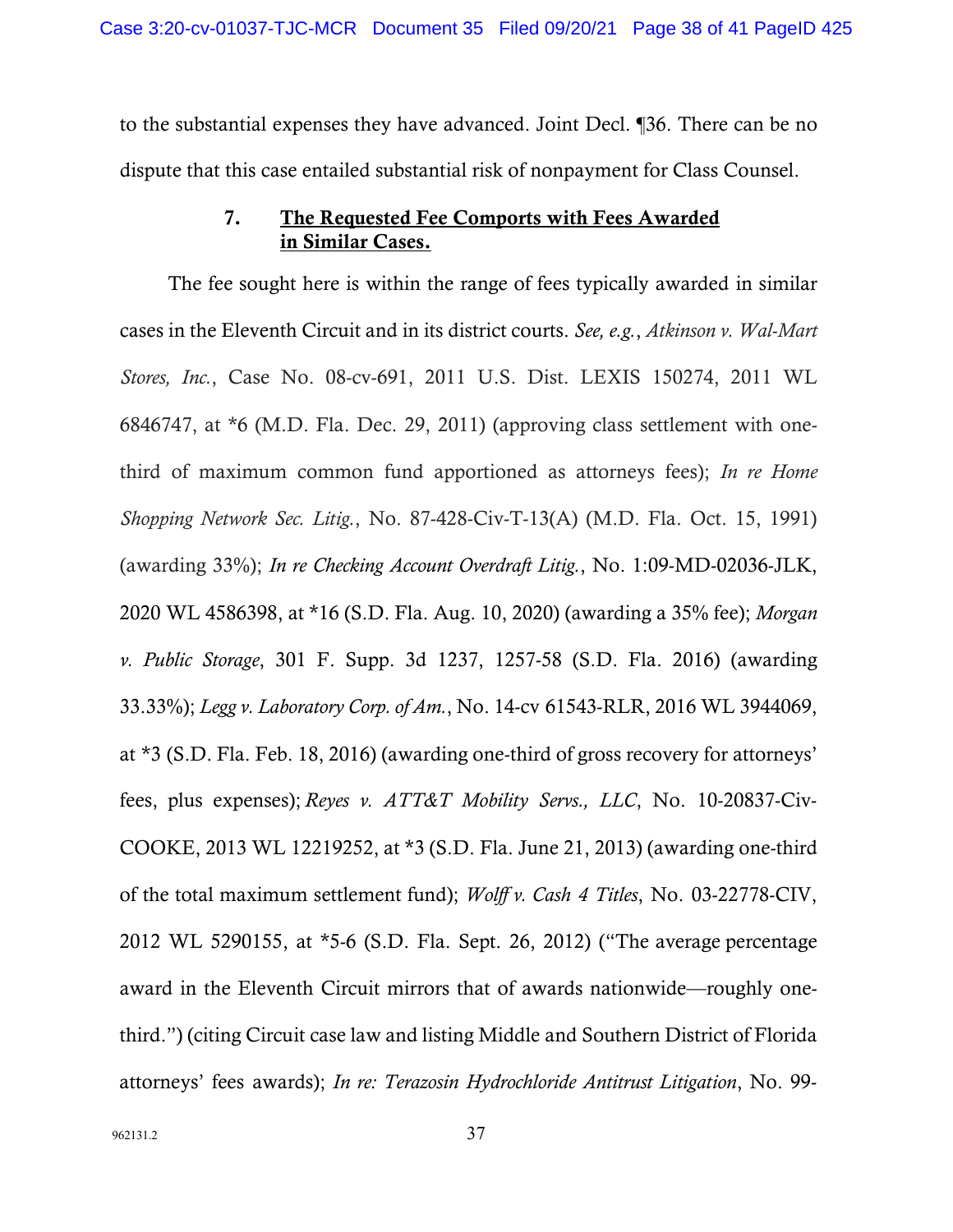to the substantial expenses they have advanced. Joint Decl. ¶36. There can be no dispute that this case entailed substantial risk of nonpayment for Class Counsel.

## 7. The Requested Fee Comports with Fees Awarded in Similar Cases.

The fee sought here is within the range of fees typically awarded in similar cases in the Eleventh Circuit and in its district courts. *See, e.g.*, *Atkinson v. Wal-Mart Stores, Inc.*, Case No. 08-cv-691, 2011 U.S. Dist. LEXIS 150274, 2011 WL 6846747, at \*6 (M.D. Fla. Dec. 29, 2011) (approving class settlement with onethird of maximum common fund apportioned as attorneys fees); *In re Home Shopping Network Sec. Litig.*, No. 87-428-Civ-T-13(A) (M.D. Fla. Oct. 15, 1991) (awarding 33%); *In re Checking Account Overdraft Litig.*, No. 1:09-MD-02036-JLK, 2020 WL 4586398, at \*16 (S.D. Fla. Aug. 10, 2020) (awarding a 35% fee); *Morgan v. Public Storage*, 301 F. Supp. 3d 1237, 1257-58 (S.D. Fla. 2016) (awarding 33.33%); *Legg v. Laboratory Corp. of Am.*, No. 14-cv 61543-RLR, 2016 WL 3944069, at \*3 (S.D. Fla. Feb. 18, 2016) (awarding one-third of gross recovery for attorneys' fees, plus expenses); *Reyes v. ATT&T Mobility Servs., LLC*, No. 10-20837-Civ-COOKE, 2013 WL 12219252, at \*3 (S.D. Fla. June 21, 2013) (awarding one-third of the total maximum settlement fund); *Wolff v. Cash 4 Titles*, No. 03-22778-CIV, 2012 WL 5290155, at \*5-6 (S.D. Fla. Sept. 26, 2012) ("The average percentage award in the Eleventh Circuit mirrors that of awards nationwide—roughly onethird.") (citing Circuit case law and listing Middle and Southern District of Florida attorneys' fees awards); *In re: Terazosin Hydrochloride Antitrust Litigation*, No. 99-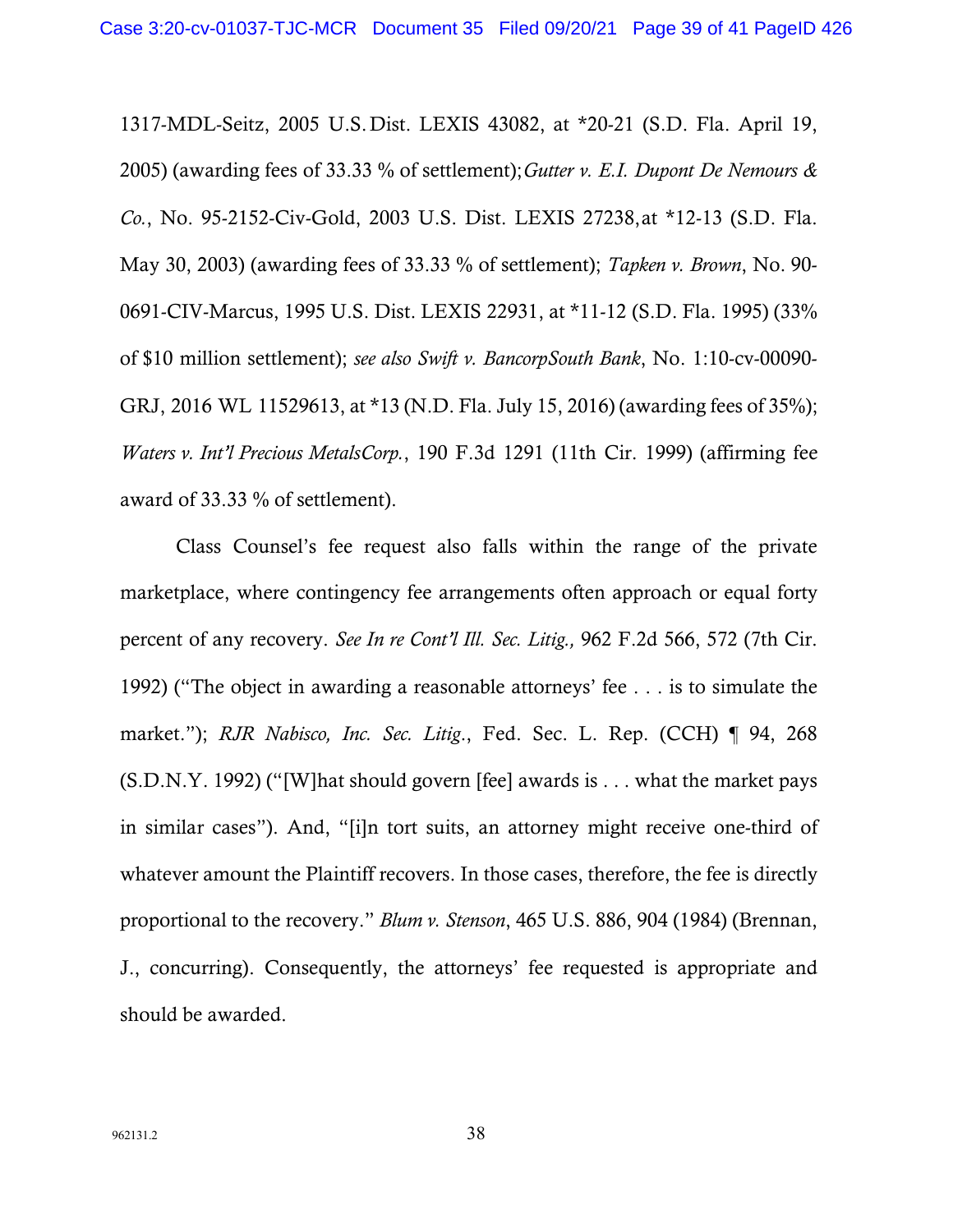1317-MDL-Seitz, 2005 U.S.Dist. LEXIS 43082, at \*20-21 (S.D. Fla. April 19, 2005) (awarding fees of 33.33 % of settlement);*Gutter v. E.I. Dupont De Nemours & Co.*, No. 95-2152-Civ-Gold, 2003 U.S. Dist. LEXIS 27238,at \*12-13 (S.D. Fla. May 30, 2003) (awarding fees of 33.33 % of settlement); *Tapken v. Brown*, No. 90- 0691-CIV-Marcus, 1995 U.S. Dist. LEXIS 22931, at \*11-12 (S.D. Fla. 1995) (33% of \$10 million settlement); *see also Swift v. BancorpSouth Bank*, No. 1:10-cv-00090- GRJ, 2016 WL 11529613, at \*13 (N.D. Fla. July 15, 2016) (awarding fees of 35%); *Waters v. Int'l Precious MetalsCorp.*, 190 F.3d 1291 (11th Cir. 1999) (affirming fee award of 33.33 % of settlement).

Class Counsel's fee request also falls within the range of the private marketplace, where contingency fee arrangements often approach or equal forty percent of any recovery. *See In re Cont'l Ill. Sec. Litig.,* 962 F.2d 566, 572 (7th Cir. 1992) ("The object in awarding a reasonable attorneys' fee . . . is to simulate the market."); *RJR Nabisco, Inc. Sec. Litig*., Fed. Sec. L. Rep. (CCH) ¶ 94, 268  $(S.D.N.Y. 1992)$  ("[W]hat should govern [fee] awards is . . . what the market pays in similar cases"). And, "[i]n tort suits, an attorney might receive one-third of whatever amount the Plaintiff recovers. In those cases, therefore, the fee is directly proportional to the recovery." *Blum v. Stenson*, 465 U.S. 886, 904 (1984) (Brennan, J., concurring). Consequently, the attorneys' fee requested is appropriate and should be awarded.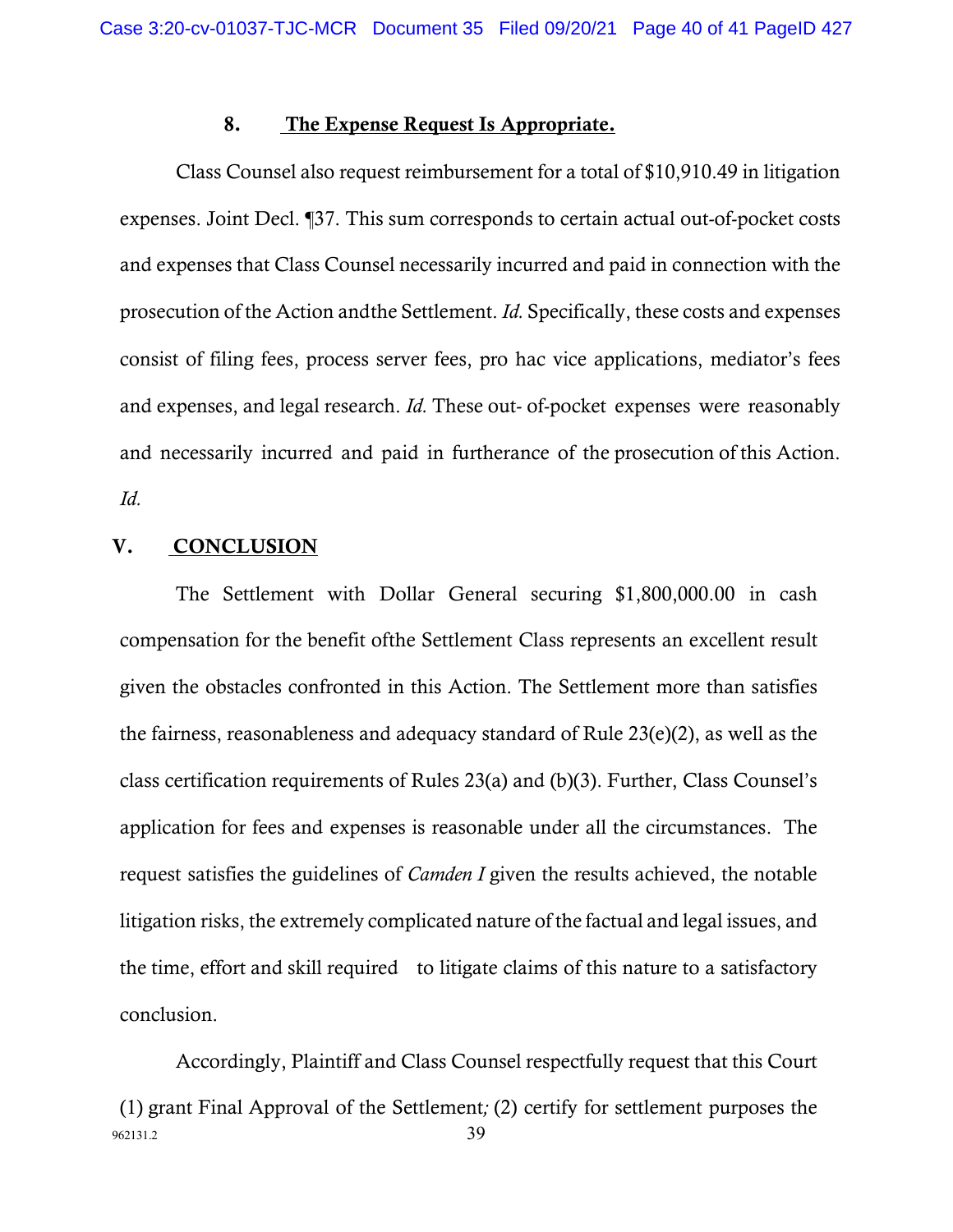### 8. The Expense Request Is Appropriate.

Class Counsel also request reimbursement for a total of \$10,910.49 in litigation expenses. Joint Decl. ¶37. This sum corresponds to certain actual out-of-pocket costs and expenses that Class Counsel necessarily incurred and paid in connection with the prosecution of the Action andthe Settlement. *Id.* Specifically, these costs and expenses consist of filing fees, process server fees, pro hac vice applications, mediator's fees and expenses, and legal research. *Id.* These out- of-pocket expenses were reasonably and necessarily incurred and paid in furtherance of the prosecution of this Action. *Id.*

## V. CONCLUSION

The Settlement with Dollar General securing \$1,800,000.00 in cash compensation for the benefit ofthe Settlement Class represents an excellent result given the obstacles confronted in this Action. The Settlement more than satisfies the fairness, reasonableness and adequacy standard of Rule 23(e)(2), as well as the class certification requirements of Rules 23(a) and (b)(3). Further, Class Counsel's application for fees and expenses is reasonable under all the circumstances. The request satisfies the guidelines of *Camden I* given the results achieved, the notable litigation risks, the extremely complicated nature of the factual and legal issues, and the time, effort and skill required to litigate claims of this nature to a satisfactory conclusion.

962131.2 39 Accordingly, Plaintiff and Class Counsel respectfully request that this Court (1) grant Final Approval of the Settlement*;* (2) certify for settlement purposes the